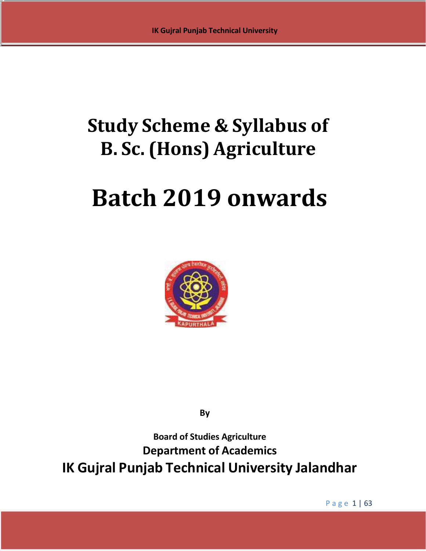# **Study Scheme & Syllabus of B. Sc. (Hons) Agriculture**

# **Batch 2019 onwards**



**By**

**Board of Studies Agriculture Department of Academics IK Gujral Punjab Technical University Jalandhar**

P a g e 1 | 63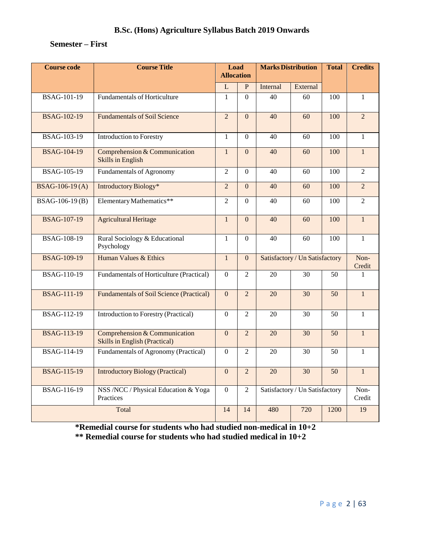# **Semester – First**

| <b>Course code</b>                                                      | <b>Course Title</b>                                                   | Load<br><b>Allocation</b> |                  | <b>Marks Distribution</b>      |                                | <b>Total</b>    | <b>Credits</b> |
|-------------------------------------------------------------------------|-----------------------------------------------------------------------|---------------------------|------------------|--------------------------------|--------------------------------|-----------------|----------------|
|                                                                         |                                                                       | ${\bf L}$                 | $\, {\bf P}$     | Internal                       | External                       |                 |                |
| <b>BSAG-101-19</b>                                                      | <b>Fundamentals of Horticulture</b>                                   | 1                         | $\Omega$         | 40                             | 60                             | 100             | $\mathbf{1}$   |
| <b>BSAG-102-19</b>                                                      | <b>Fundamentals of Soil Science</b>                                   |                           | $\overline{0}$   | 40                             | 60                             | 100             | $\overline{2}$ |
| <b>BSAG-103-19</b>                                                      | <b>Introduction to Forestry</b>                                       |                           | $\boldsymbol{0}$ | 40                             | 60                             | 100             | $\mathbf{1}$   |
| <b>BSAG-104-19</b>                                                      | Comprehension & Communication<br><b>Skills in English</b>             |                           | $\mathbf{0}$     | 40                             | 60                             | 100             | $\mathbf{1}$   |
| <b>BSAG-105-19</b>                                                      | <b>Fundamentals of Agronomy</b>                                       | $\overline{2}$            | $\mathbf{0}$     | 40                             | 60                             | 100             | $\overline{2}$ |
| BSAG-106-19(A)                                                          | Introductory Biology*                                                 | $\overline{2}$            | $\mathbf{0}$     | 40                             | 60                             | 100             | $\overline{2}$ |
| BSAG-106-19(B)                                                          | Elementary Mathematics**                                              | $\overline{2}$            | $\overline{0}$   | 40                             | 60                             | 100             | $\overline{2}$ |
| <b>BSAG-107-19</b>                                                      | <b>Agricultural Heritage</b>                                          | $\mathbf{1}$              | $\Omega$         | 40                             | 60                             | 100             | $\mathbf{1}$   |
| <b>BSAG-108-19</b>                                                      | Rural Sociology & Educational<br>Psychology                           | $\mathbf{1}$              | $\boldsymbol{0}$ | 40                             | 60                             | 100             | $\mathbf{1}$   |
| <b>BSAG-109-19</b>                                                      | Human Values & Ethics                                                 | $\mathbf{1}$              | $\mathbf{0}$     | Satisfactory / Un Satisfactory |                                | Non-<br>Credit  |                |
| <b>BSAG-110-19</b>                                                      | Fundamentals of Horticulture (Practical)                              | $\mathbf{0}$              | $\overline{2}$   | 20                             | 30                             | 50              | 1              |
| <b>BSAG-111-19</b>                                                      | <b>Fundamentals of Soil Science (Practical)</b>                       | $\overline{0}$            | $\overline{2}$   | 20                             | $\overline{30}$                | $\overline{50}$ | $\mathbf{1}$   |
| <b>BSAG-112-19</b>                                                      | Introduction to Forestry (Practical)                                  | $\Omega$                  | $\overline{2}$   | 20                             | 30                             | 50              | $\mathbf{1}$   |
| <b>BSAG-113-19</b>                                                      | Comprehension & Communication<br><b>Skills in English (Practical)</b> | $\Omega$                  | $\overline{2}$   | 20                             | 30                             | 50              | $\mathbf{1}$   |
| BSAG-114-19                                                             | Fundamentals of Agronomy (Practical)                                  | $\mathbf{0}$              | $\overline{c}$   | 20                             | 30                             | 50              | $\mathbf{1}$   |
| <b>BSAG-115-19</b>                                                      | <b>Introductory Biology (Practical)</b>                               | $\overline{0}$            | $\overline{2}$   | 20                             | 30                             | 50              | $\mathbf{1}$   |
| <b>BSAG-116-19</b><br>NSS /NCC / Physical Education & Yoga<br>Practices |                                                                       |                           | $\overline{2}$   |                                | Satisfactory / Un Satisfactory |                 | Non-<br>Credit |
| Total                                                                   |                                                                       |                           | 14               | 480                            | 720                            | 1200            | 19             |

**\*Remedial course for students who had studied non-medical in 10+2 \*\* Remedial course for students who had studied medical in 10+2**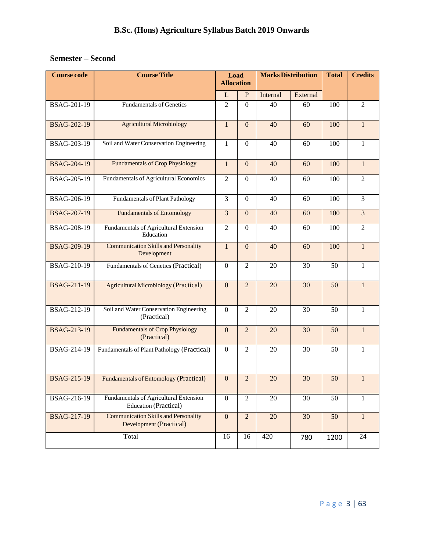# **Semester – Second**

| <b>Course code</b> | <b>Course Title</b>                                                           | Load<br><b>Allocation</b> |                  | <b>Marks Distribution</b> |          | <b>Total</b> | <b>Credits</b> |  |
|--------------------|-------------------------------------------------------------------------------|---------------------------|------------------|---------------------------|----------|--------------|----------------|--|
|                    |                                                                               | $\mathbf{L}$              | $\mathbf{P}$     | Internal                  | External |              |                |  |
| BSAG-201-19        | <b>Fundamentals of Genetics</b>                                               | $\overline{2}$            | $\overline{0}$   | 40                        | 60       | 100          | $\overline{2}$ |  |
| <b>BSAG-202-19</b> | <b>Agricultural Microbiology</b>                                              | $\mathbf{1}$              | $\mathbf{0}$     | 40                        | 60       | 100          | $\mathbf{1}$   |  |
| BSAG-203-19        | Soil and Water Conservation Engineering                                       | $\mathbf{1}$              | $\overline{0}$   | 40                        | 60       | 100          | 1              |  |
| <b>BSAG-204-19</b> | <b>Fundamentals of Crop Physiology</b>                                        | $\mathbf{1}$              | $\overline{0}$   | 40                        | 60       | 100          | $\mathbf{1}$   |  |
| BSAG-205-19        | Fundamentals of Agricultural Economics                                        | $\overline{2}$            | $\boldsymbol{0}$ | 40                        | 60       | 100          | $\overline{2}$ |  |
| BSAG-206-19        | Fundamentals of Plant Pathology                                               | 3                         | $\Omega$         | 40                        | 60       | 100          | 3              |  |
| <b>BSAG-207-19</b> | <b>Fundamentals of Entomology</b>                                             | $\overline{3}$            | $\overline{0}$   | 40                        | 60       | 100          | $\overline{3}$ |  |
| BSAG-208-19        | Fundamentals of Agricultural Extension<br>Education                           | $\mathfrak{2}$            | $\mathbf{0}$     | 40                        | 60       | 100          | $\overline{2}$ |  |
| <b>BSAG-209-19</b> | <b>Communication Skills and Personality</b><br>Development                    | $\overline{1}$            | $\overline{0}$   | 40                        | 60       | 100          | $\mathbf{1}$   |  |
| <b>BSAG-210-19</b> | Fundamentals of Genetics (Practical)                                          | $\Omega$                  | $\overline{2}$   | 20                        | 30       | 50           | 1              |  |
| <b>BSAG-211-19</b> | <b>Agricultural Microbiology (Practical)</b>                                  | $\mathbf{0}$              | $\overline{2}$   | 20                        | 30       | 50           | $\mathbf{1}$   |  |
| BSAG-212-19        | Soil and Water Conservation Engineering<br>(Practical)                        | $\overline{0}$            | $\overline{2}$   | 20                        | 30       | 50           | $\mathbf{1}$   |  |
| <b>BSAG-213-19</b> | <b>Fundamentals of Crop Physiology</b><br>(Practical)                         | $\overline{0}$            | $\overline{2}$   | 20                        | 30       | 50           | $\mathbf{1}$   |  |
| BSAG-214-19        | Fundamentals of Plant Pathology (Practical)                                   | $\theta$                  | $\overline{2}$   | 20                        | 30       | 50           | 1              |  |
| <b>BSAG-215-19</b> | Fundamentals of Entomology (Practical)                                        | $\boldsymbol{0}$          | $\overline{2}$   | 20                        | 30       | 50           |                |  |
| BSAG-216-19        | Fundamentals of Agricultural Extension<br><b>Education (Practical)</b>        | $\boldsymbol{0}$          | $\overline{2}$   | 20                        | 30       | 50           | 1              |  |
| <b>BSAG-217-19</b> | <b>Communication Skills and Personality</b><br><b>Development (Practical)</b> | $\mathbf{0}$              | $\overline{2}$   | 20                        | 30       | 50           | $\mathbf{1}$   |  |
|                    | Total                                                                         | 16                        | 16               | 420                       | 780      | 1200         | 24             |  |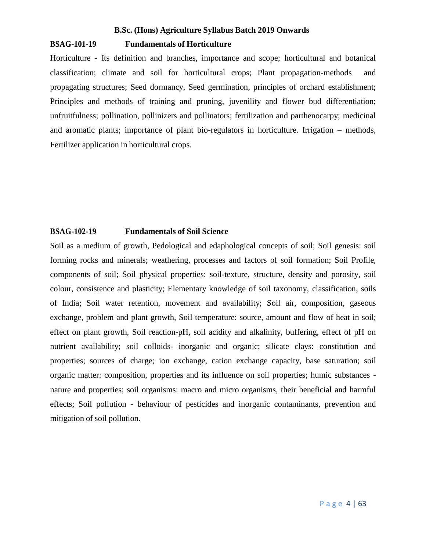# **BSAG-101-19 Fundamentals of Horticulture**

Horticulture - Its definition and branches, importance and scope; horticultural and botanical classification; climate and soil for horticultural crops; Plant propagation-methods and propagating structures; Seed dormancy, Seed germination, principles of orchard establishment; Principles and methods of training and pruning, juvenility and flower bud differentiation; unfruitfulness; pollination, pollinizers and pollinators; fertilization and parthenocarpy; medicinal and aromatic plants; importance of plant bio-regulators in horticulture. Irrigation – methods, Fertilizer application in horticultural crops.

# **BSAG-102-19 Fundamentals of Soil Science**

Soil as a medium of growth, Pedological and edaphological concepts of soil; Soil genesis: soil forming rocks and minerals; weathering, processes and factors of soil formation; Soil Profile, components of soil; Soil physical properties: soil-texture, structure, density and porosity, soil colour, consistence and plasticity; Elementary knowledge of soil taxonomy, classification, soils of India; Soil water retention, movement and availability; Soil air, composition, gaseous exchange, problem and plant growth, Soil temperature: source, amount and flow of heat in soil; effect on plant growth, Soil reaction-pH, soil acidity and alkalinity, buffering, effect of pH on nutrient availability; soil colloids- inorganic and organic; silicate clays: constitution and properties; sources of charge; ion exchange, cation exchange capacity, base saturation; soil organic matter: composition, properties and its influence on soil properties; humic substances nature and properties; soil organisms: macro and micro organisms, their beneficial and harmful effects; Soil pollution - behaviour of pesticides and inorganic contaminants, prevention and mitigation of soil pollution.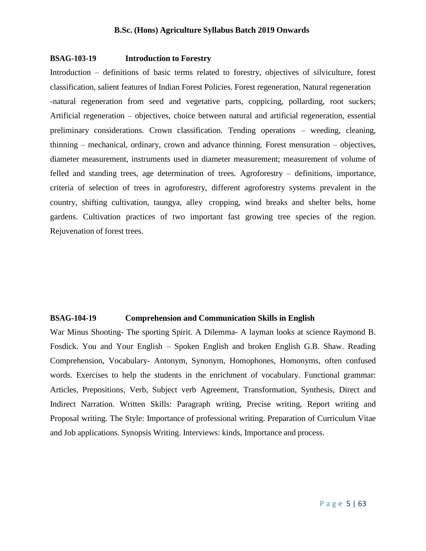# **BSAG-103-19 Introduction to Forestry**

Introduction – definitions of basic terms related to forestry, objectives of silviculture, forest classification, salient features of Indian Forest Policies. Forest regeneration, Natural regeneration -natural regeneration from seed and vegetative parts, coppicing, pollarding, root suckers; Artificial regeneration – objectives, choice between natural and artificial regeneration, essential preliminary considerations. Crown classification. Tending operations – weeding, cleaning, thinning – mechanical, ordinary, crown and advance thinning. Forest mensuration – objectives, diameter measurement, instruments used in diameter measurement; measurement of volume of felled and standing trees, age determination of trees. Agroforestry – definitions, importance, criteria of selection of trees in agroforestry, different agroforestry systems prevalent in the country, shifting cultivation, taungya, alley cropping, wind breaks and shelter belts, home gardens. Cultivation practices of two important fast growing tree species of the region. Rejuvenation of forest trees.

# **BSAG-104-19 Comprehension and Communication Skills in English**

War Minus Shooting- The sporting Spirit. A Dilemma- A layman looks at science Raymond B. Fosdick. You and Your English – Spoken English and broken English G.B. Shaw. Reading Comprehension, Vocabulary- Antonym, Synonym, Homophones, Homonyms, often confused words. Exercises to help the students in the enrichment of vocabulary. Functional grammar: Articles, Prepositions, Verb, Subject verb Agreement, Transformation, Synthesis, Direct and Indirect Narration. Written Skills: Paragraph writing, Precise writing, Report writing and Proposal writing. The Style: Importance of professional writing. Preparation of Curriculum Vitae and Job applications. Synopsis Writing. Interviews: kinds, Importance and process.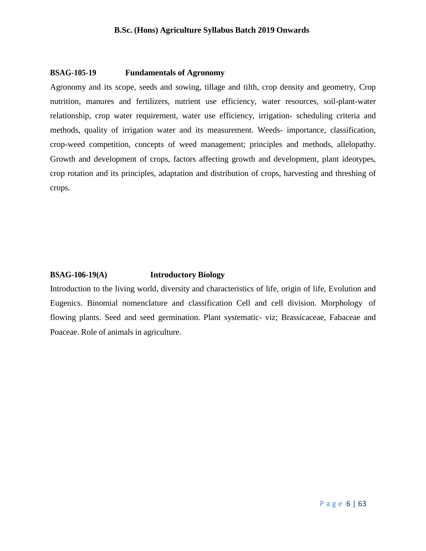# **BSAG-105-19 Fundamentals of Agronomy**

Agronomy and its scope, seeds and sowing, tillage and tilth, crop density and geometry, Crop nutrition, manures and fertilizers, nutrient use efficiency, water resources, soil-plant-water relationship, crop water requirement, water use efficiency, irrigation- scheduling criteria and methods, quality of irrigation water and its measurement. Weeds- importance, classification, crop-weed competition, concepts of weed management; principles and methods, allelopathy. Growth and development of crops, factors affecting growth and development, plant ideotypes, crop rotation and its principles, adaptation and distribution of crops, harvesting and threshing of crops.

# **BSAG-106-19(A) Introductory Biology**

Introduction to the living world, diversity and characteristics of life, origin of life, Evolution and Eugenics. Binomial nomenclature and classification Cell and cell division. Morphology of flowing plants. Seed and seed germination. Plant systematic- viz; Brassicaceae, Fabaceae and Poaceae. Role of animals in agriculture.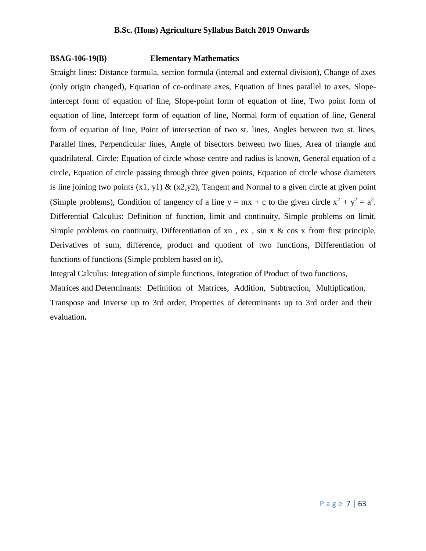# **BSAG-106-19(B) Elementary Mathematics**

Straight lines: Distance formula, section formula (internal and external division), Change of axes (only origin changed), Equation of co-ordinate axes, Equation of lines parallel to axes, Slopeintercept form of equation of line, Slope-point form of equation of line, Two point form of equation of line, Intercept form of equation of line, Normal form of equation of line, General form of equation of line, Point of intersection of two st. lines, Angles between two st. lines, Parallel lines, Perpendicular lines, Angle of bisectors between two lines, Area of triangle and quadrilateral. Circle: Equation of circle whose centre and radius is known, General equation of a circle, Equation of circle passing through three given points, Equation of circle whose diameters is line joining two points  $(x1, y1)$  &  $(x2,y2)$ , Tangent and Normal to a given circle at given point (Simple problems), Condition of tangency of a line  $y = mx + c$  to the given circle  $x^2 + y^2 = a^2$ . Differential Calculus: Definition of function, limit and continuity, Simple problems on limit, Simple problems on continuity, Differentiation of  $xn$ ,  $ex$ ,  $sin x \& cos x$  from first principle, Derivatives of sum, difference, product and quotient of two functions, Differentiation of functions of functions (Simple problem based on it),

Integral Calculus: Integration of simple functions, Integration of Product of two functions, Matrices and Determinants: Definition of Matrices, Addition, Subtraction, Multiplication, Transpose and Inverse up to 3rd order, Properties of determinants up to 3rd order and their evaluation**.**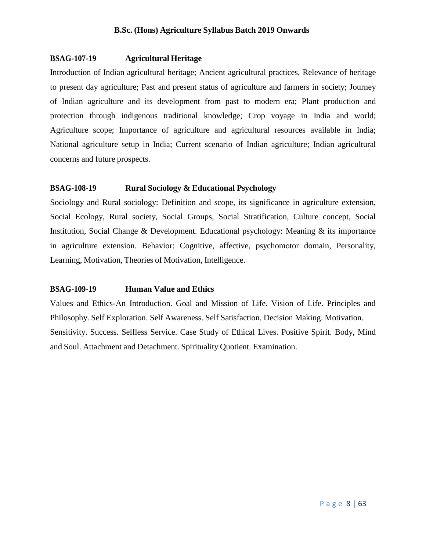# **BSAG-107-19 Agricultural Heritage**

Introduction of Indian agricultural heritage; Ancient agricultural practices, Relevance of heritage to present day agriculture; Past and present status of agriculture and farmers in society; Journey of Indian agriculture and its development from past to modern era; Plant production and protection through indigenous traditional knowledge; Crop voyage in India and world; Agriculture scope; Importance of agriculture and agricultural resources available in India; National agriculture setup in India; Current scenario of Indian agriculture; Indian agricultural concerns and future prospects.

# **BSAG-108-19 Rural Sociology & Educational Psychology**

Sociology and Rural sociology: Definition and scope, its significance in agriculture extension, Social Ecology, Rural society, Social Groups, Social Stratification, Culture concept, Social Institution, Social Change & Development. Educational psychology: Meaning & its importance in agriculture extension. Behavior: Cognitive, affective, psychomotor domain, Personality, Learning, Motivation, Theories of Motivation, Intelligence.

# **BSAG-109-19 Human Value and Ethics**

Values and Ethics-An Introduction. Goal and Mission of Life. Vision of Life. Principles and Philosophy. Self Exploration. Self Awareness. Self Satisfaction. Decision Making. Motivation. Sensitivity. Success. Selfless Service. Case Study of Ethical Lives. Positive Spirit. Body, Mind and Soul. Attachment and Detachment. Spirituality Quotient. Examination.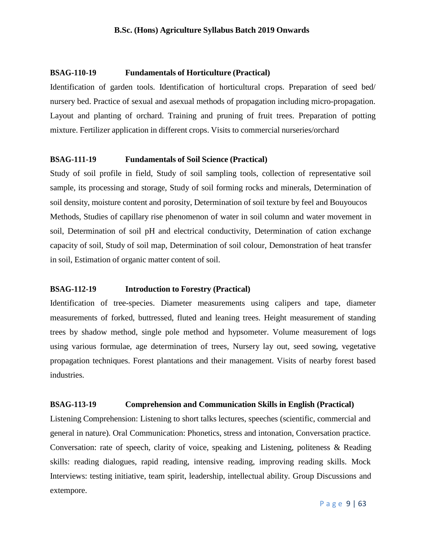# **BSAG-110-19 Fundamentals of Horticulture (Practical)**

Identification of garden tools. Identification of horticultural crops. Preparation of seed bed/ nursery bed. Practice of sexual and asexual methods of propagation including micro-propagation. Layout and planting of orchard. Training and pruning of fruit trees. Preparation of potting mixture. Fertilizer application in different crops. Visits to commercial nurseries/orchard

# **BSAG-111-19 Fundamentals of Soil Science (Practical)**

Study of soil profile in field, Study of soil sampling tools, collection of representative soil sample, its processing and storage, Study of soil forming rocks and minerals, Determination of soil density, moisture content and porosity, Determination of soil texture by feel and Bouyoucos Methods, Studies of capillary rise phenomenon of water in soil column and water movement in soil, Determination of soil pH and electrical conductivity, Determination of cation exchange capacity of soil, Study of soil map, Determination of soil colour, Demonstration of heat transfer in soil, Estimation of organic matter content of soil.

# **BSAG-112-19 Introduction to Forestry (Practical)**

Identification of tree-species. Diameter measurements using calipers and tape, diameter measurements of forked, buttressed, fluted and leaning trees. Height measurement of standing trees by shadow method, single pole method and hypsometer. Volume measurement of logs using various formulae, age determination of trees, Nursery lay out, seed sowing, vegetative propagation techniques. Forest plantations and their management. Visits of nearby forest based industries.

## **BSAG-113-19 Comprehension and Communication Skills in English (Practical)**

Listening Comprehension: Listening to short talks lectures, speeches (scientific, commercial and general in nature). Oral Communication: Phonetics, stress and intonation, Conversation practice. Conversation: rate of speech, clarity of voice, speaking and Listening, politeness & Reading skills: reading dialogues, rapid reading, intensive reading, improving reading skills. Mock Interviews: testing initiative, team spirit, leadership, intellectual ability. Group Discussions and extempore.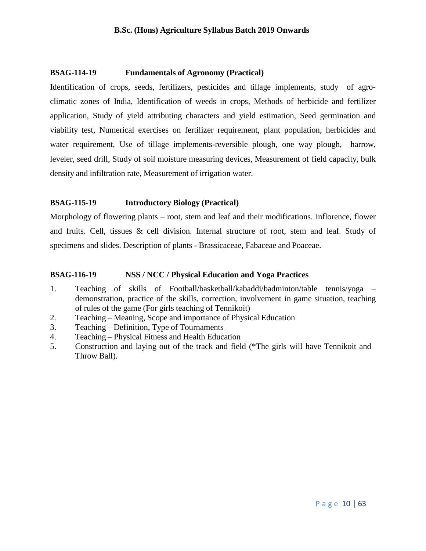# **BSAG-114-19 Fundamentals of Agronomy (Practical)**

Identification of crops, seeds, fertilizers, pesticides and tillage implements, study of agroclimatic zones of India, Identification of weeds in crops, Methods of herbicide and fertilizer application, Study of yield attributing characters and yield estimation, Seed germination and viability test, Numerical exercises on fertilizer requirement, plant population, herbicides and water requirement, Use of tillage implements-reversible plough, one way plough, harrow, leveler, seed drill, Study of soil moisture measuring devices, Measurement of field capacity, bulk density and infiltration rate, Measurement of irrigation water.

# **BSAG-115-19 Introductory Biology (Practical)**

Morphology of flowering plants – root, stem and leaf and their modifications. Inflorence, flower and fruits. Cell, tissues & cell division. Internal structure of root, stem and leaf. Study of specimens and slides. Description of plants - Brassicaceae, Fabaceae and Poaceae.

# **BSAG-116-19 NSS / NCC / Physical Education and Yoga Practices**

- 1. Teaching of skills of Football/basketball/kabaddi/badminton/table tennis/yoga demonstration, practice of the skills, correction, involvement in game situation, teaching of rules of the game (For girls teaching of Tennikoit)
- 2. Teaching Meaning, Scope and importance of Physical Education
- 3. Teaching Definition, Type of Tournaments
- 4. Teaching Physical Fitness and Health Education
- 5. Construction and laying out of the track and field (\*The girls will have Tennikoit and Throw Ball).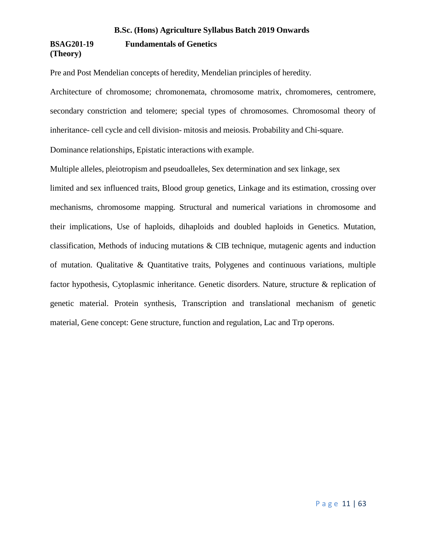# **B.Sc. (Hons) Agriculture Syllabus Batch 2019 Onwards BSAG201-19 Fundamentals of Genetics (Theory)**

Pre and Post Mendelian concepts of heredity, Mendelian principles of heredity.

Architecture of chromosome; chromonemata, chromosome matrix, chromomeres, centromere, secondary constriction and telomere; special types of chromosomes. Chromosomal theory of inheritance- cell cycle and cell division- mitosis and meiosis. Probability and Chi-square. Dominance relationships, Epistatic interactions with example.

Multiple alleles, pleiotropism and pseudoalleles, Sex determination and sex linkage, sex

limited and sex influenced traits, Blood group genetics, Linkage and its estimation, crossing over mechanisms, chromosome mapping. Structural and numerical variations in chromosome and their implications, Use of haploids, dihaploids and doubled haploids in Genetics. Mutation, classification, Methods of inducing mutations & CIB technique, mutagenic agents and induction of mutation. Qualitative & Quantitative traits, Polygenes and continuous variations, multiple factor hypothesis, Cytoplasmic inheritance. Genetic disorders. Nature, structure & replication of genetic material. Protein synthesis, Transcription and translational mechanism of genetic material, Gene concept: Gene structure, function and regulation, Lac and Trp operons.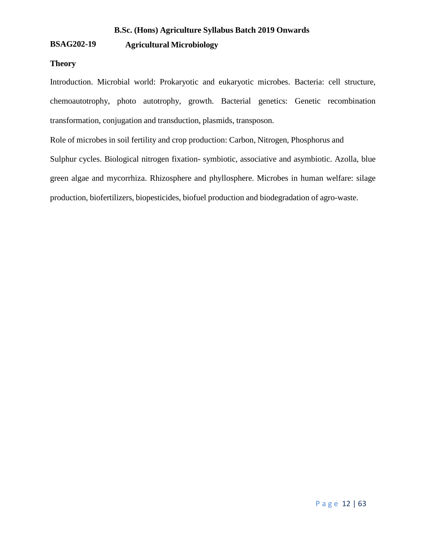# **BSAG202-19 Agricultural Microbiology**

# **Theory**

Introduction. Microbial world: Prokaryotic and eukaryotic microbes. Bacteria: cell structure, chemoautotrophy, photo autotrophy, growth. Bacterial genetics: Genetic recombination transformation, conjugation and transduction, plasmids, transposon.

Role of microbes in soil fertility and crop production: Carbon, Nitrogen, Phosphorus and

Sulphur cycles. Biological nitrogen fixation- symbiotic, associative and asymbiotic. Azolla, blue green algae and mycorrhiza. Rhizosphere and phyllosphere. Microbes in human welfare: silage production, biofertilizers, biopesticides, biofuel production and biodegradation of agro-waste.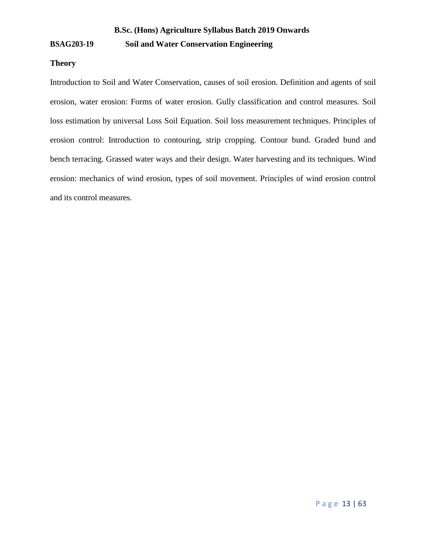# **BSAG203-19 Soil and Water Conservation Engineering**

# **Theory**

Introduction to Soil and Water Conservation, causes of soil erosion. Definition and agents of soil erosion, water erosion: Forms of water erosion. Gully classification and control measures. Soil loss estimation by universal Loss Soil Equation. Soil loss measurement techniques. Principles of erosion control: Introduction to contouring, strip cropping. Contour bund. Graded bund and bench terracing. Grassed water ways and their design. Water harvesting and its techniques. Wind erosion: mechanics of wind erosion, types of soil movement. Principles of wind erosion control and its control measures.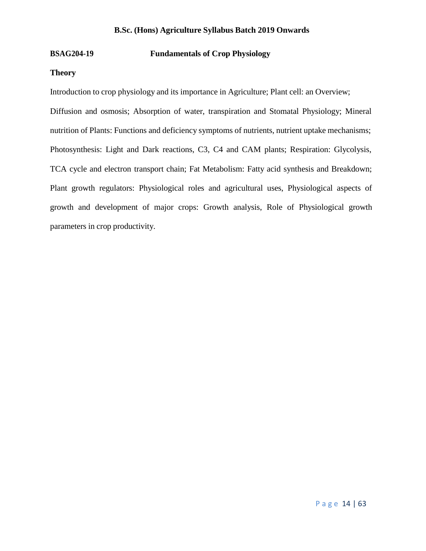# **BSAG204-19 Fundamentals of Crop Physiology**

# **Theory**

Introduction to crop physiology and its importance in Agriculture; Plant cell: an Overview;

Diffusion and osmosis; Absorption of water, transpiration and Stomatal Physiology; Mineral nutrition of Plants: Functions and deficiency symptoms of nutrients, nutrient uptake mechanisms; Photosynthesis: Light and Dark reactions, C3, C4 and CAM plants; Respiration: Glycolysis, TCA cycle and electron transport chain; Fat Metabolism: Fatty acid synthesis and Breakdown; Plant growth regulators: Physiological roles and agricultural uses, Physiological aspects of growth and development of major crops: Growth analysis, Role of Physiological growth parameters in crop productivity.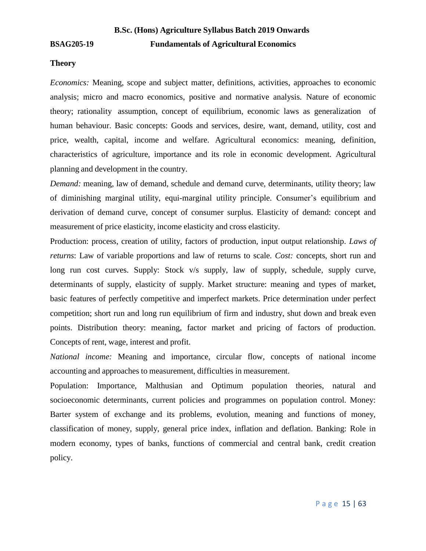# **B.Sc. (Hons) Agriculture Syllabus Batch 2019 Onwards BSAG205-19 Fundamentals of Agricultural Economics**

# **Theory**

*Economics:* Meaning, scope and subject matter, definitions, activities, approaches to economic analysis; micro and macro economics, positive and normative analysis. Nature of economic theory; rationality assumption, concept of equilibrium, economic laws as generalization of human behaviour. Basic concepts: Goods and services, desire, want, demand, utility, cost and price, wealth, capital, income and welfare. Agricultural economics: meaning, definition, characteristics of agriculture, importance and its role in economic development. Agricultural planning and development in the country.

*Demand:* meaning, law of demand, schedule and demand curve, determinants, utility theory; law of diminishing marginal utility, equi-marginal utility principle. Consumer's equilibrium and derivation of demand curve, concept of consumer surplus. Elasticity of demand: concept and measurement of price elasticity, income elasticity and cross elasticity.

Production: process, creation of utility, factors of production, input output relationship. *Laws of returns*: Law of variable proportions and law of returns to scale. *Cost:* concepts, short run and long run cost curves. Supply: Stock v/s supply, law of supply, schedule, supply curve, determinants of supply, elasticity of supply. Market structure: meaning and types of market, basic features of perfectly competitive and imperfect markets. Price determination under perfect competition; short run and long run equilibrium of firm and industry, shut down and break even points. Distribution theory: meaning, factor market and pricing of factors of production. Concepts of rent, wage, interest and profit.

*National income:* Meaning and importance, circular flow, concepts of national income accounting and approaches to measurement, difficulties in measurement.

Population: Importance, Malthusian and Optimum population theories, natural and socioeconomic determinants, current policies and programmes on population control. Money: Barter system of exchange and its problems, evolution, meaning and functions of money, classification of money, supply, general price index, inflation and deflation. Banking: Role in modern economy, types of banks, functions of commercial and central bank, credit creation policy.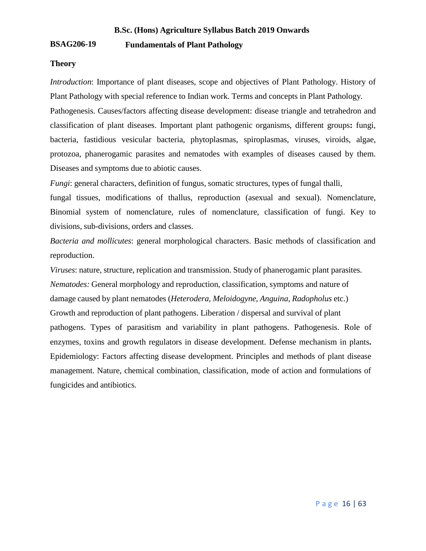# **BSAG206-19 Fundamentals of Plant Pathology**

# **Theory**

*Introduction*: Importance of plant diseases, scope and objectives of Plant Pathology. History of Plant Pathology with special reference to Indian work. Terms and concepts in Plant Pathology. Pathogenesis. Causes/factors affecting disease development: disease triangle and tetrahedron and

classification of plant diseases. Important plant pathogenic organisms, different groups**:** fungi, bacteria, fastidious vesicular bacteria, phytoplasmas, spiroplasmas, viruses, viroids, algae, protozoa, phanerogamic parasites and nematodes with examples of diseases caused by them. Diseases and symptoms due to abiotic causes.

*Fungi*: general characters, definition of fungus, somatic structures, types of fungal thalli,

fungal tissues, modifications of thallus, reproduction (asexual and sexual). Nomenclature, Binomial system of nomenclature, rules of nomenclature, classification of fungi. Key to divisions, sub-divisions, orders and classes.

*Bacteria and mollicutes*: general morphological characters. Basic methods of classification and reproduction.

*Viruses*: nature, structure, replication and transmission. Study of phanerogamic plant parasites. *Nematodes:* General morphology and reproduction, classification, symptoms and nature of damage caused by plant nematodes (*Heterodera, Meloidogyne*, *Anguina, Radopholus* etc.) Growth and reproduction of plant pathogens. Liberation / dispersal and survival of plant pathogens. Types of parasitism and variability in plant pathogens. Pathogenesis. Role of enzymes, toxins and growth regulators in disease development. Defense mechanism in plants**.** Epidemiology: Factors affecting disease development. Principles and methods of plant disease management. Nature, chemical combination, classification, mode of action and formulations of fungicides and antibiotics.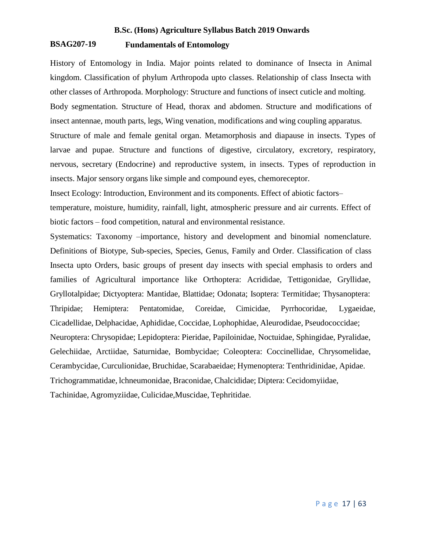# **BSAG207-19 Fundamentals of Entomology**

History of Entomology in India. Major points related to dominance of Insecta in Animal kingdom. Classification of phylum Arthropoda upto classes. Relationship of class Insecta with other classes of Arthropoda. Morphology: Structure and functions of insect cuticle and molting. Body segmentation. Structure of Head, thorax and abdomen. Structure and modifications of insect antennae, mouth parts, legs, Wing venation, modifications and wing coupling apparatus. Structure of male and female genital organ. Metamorphosis and diapause in insects. Types of larvae and pupae. Structure and functions of digestive, circulatory, excretory, respiratory, nervous, secretary (Endocrine) and reproductive system, in insects. Types of reproduction in insects. Major sensory organs like simple and compound eyes, chemoreceptor.

Insect Ecology: Introduction, Environment and its components. Effect of abiotic factors–

temperature, moisture, humidity, rainfall, light, atmospheric pressure and air currents. Effect of biotic factors – food competition, natural and environmental resistance.

Systematics: Taxonomy –importance, history and development and binomial nomenclature. Definitions of Biotype, Sub-species, Species, Genus, Family and Order. Classification of class Insecta upto Orders, basic groups of present day insects with special emphasis to orders and families of Agricultural importance like Orthoptera: Acrididae, Tettigonidae, Gryllidae, Gryllotalpidae; Dictyoptera: Mantidae, Blattidae; Odonata; Isoptera: Termitidae; Thysanoptera: Thripidae; Hemiptera: Pentatomidae, Coreidae, Cimicidae, Pyrrhocoridae, Lygaeidae, Cicadellidae, Delphacidae, Aphididae, Coccidae, Lophophidae, Aleurodidae, Pseudococcidae; Neuroptera: Chrysopidae; Lepidoptera: Pieridae, Papiloinidae, Noctuidae, Sphingidae, Pyralidae, Gelechiidae, Arctiidae, Saturnidae, Bombycidae; Coleoptera: Coccinellidae, Chrysomelidae, Cerambycidae, Curculionidae, Bruchidae, Scarabaeidae; Hymenoptera: Tenthridinidae, Apidae. Trichogrammatidae, lchneumonidae, Braconidae, Chalcididae; Diptera: Cecidomyiidae, Tachinidae, Agromyziidae, Culicidae,Muscidae, Tephritidae.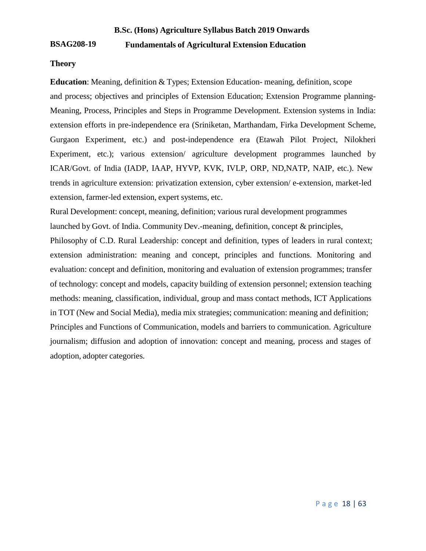# **BSAG208-19 Fundamentals of Agricultural Extension Education**

# **Theory**

**Education**: Meaning, definition & Types; Extension Education- meaning, definition, scope and process; objectives and principles of Extension Education; Extension Programme planning-Meaning, Process, Principles and Steps in Programme Development. Extension systems in India: extension efforts in pre-independence era (Sriniketan, Marthandam, Firka Development Scheme, Gurgaon Experiment, etc.) and post-independence era (Etawah Pilot Project, Nilokheri Experiment, etc.); various extension/ agriculture development programmes launched by ICAR/Govt. of India (IADP, IAAP, HYVP, KVK, IVLP, ORP, ND,NATP, NAIP, etc.). New trends in agriculture extension: privatization extension, cyber extension/ e-extension, market-led extension, farmer-led extension, expert systems, etc.

Rural Development: concept, meaning, definition; various rural development programmes launched by Govt. of India. Community Dev.-meaning, definition, concept & principles,

Philosophy of C.D. Rural Leadership: concept and definition, types of leaders in rural context; extension administration: meaning and concept, principles and functions. Monitoring and evaluation: concept and definition, monitoring and evaluation of extension programmes; transfer of technology: concept and models, capacity building of extension personnel; extension teaching methods: meaning, classification, individual, group and mass contact methods, ICT Applications in TOT (New and Social Media), media mix strategies; communication: meaning and definition; Principles and Functions of Communication, models and barriers to communication. Agriculture journalism; diffusion and adoption of innovation: concept and meaning, process and stages of adoption, adopter categories.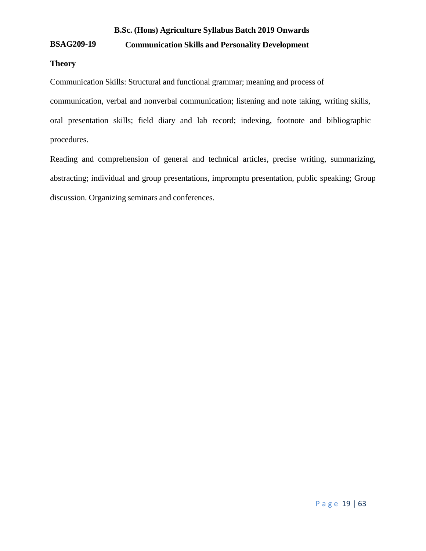# **BSAG209-19 Communication Skills and Personality Development**

# **Theory**

Communication Skills: Structural and functional grammar; meaning and process of communication, verbal and nonverbal communication; listening and note taking, writing skills, oral presentation skills; field diary and lab record; indexing, footnote and bibliographic procedures.

Reading and comprehension of general and technical articles, precise writing, summarizing, abstracting; individual and group presentations, impromptu presentation, public speaking; Group discussion. Organizing seminars and conferences.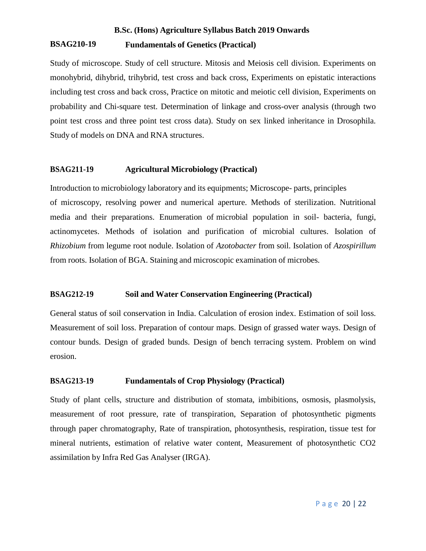# **BSAG210-19 Fundamentals of Genetics (Practical)**

Study of microscope. Study of cell structure. Mitosis and Meiosis cell division. Experiments on monohybrid, dihybrid, trihybrid, test cross and back cross, Experiments on epistatic interactions including test cross and back cross, Practice on mitotic and meiotic cell division, Experiments on probability and Chi-square test. Determination of linkage and cross-over analysis (through two point test cross and three point test cross data). Study on sex linked inheritance in Drosophila. Study of models on DNA and RNA structures.

# **BSAG211-19 Agricultural Microbiology (Practical)**

Introduction to microbiology laboratory and its equipments; Microscope- parts, principles of microscopy, resolving power and numerical aperture. Methods of sterilization. Nutritional media and their preparations. Enumeration of microbial population in soil- bacteria, fungi, actinomycetes. Methods of isolation and purification of microbial cultures. Isolation of *Rhizobium* from legume root nodule. Isolation of *Azotobacter* from soil. Isolation of *Azospirillum* from roots. Isolation of BGA. Staining and microscopic examination of microbes.

# **BSAG212-19 Soil and Water Conservation Engineering (Practical)**

General status of soil conservation in India. Calculation of erosion index. Estimation of soil loss. Measurement of soil loss. Preparation of contour maps. Design of grassed water ways. Design of contour bunds. Design of graded bunds. Design of bench terracing system. Problem on wind erosion.

# **BSAG213-19 Fundamentals of Crop Physiology (Practical)**

Study of plant cells, structure and distribution of stomata, imbibitions, osmosis, plasmolysis, measurement of root pressure, rate of transpiration, Separation of photosynthetic pigments through paper chromatography, Rate of transpiration, photosynthesis, respiration, tissue test for mineral nutrients, estimation of relative water content, Measurement of photosynthetic CO2 assimilation by Infra Red Gas Analyser (IRGA).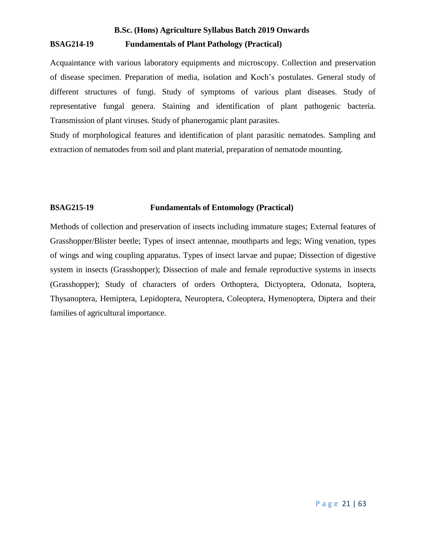# **B.Sc. (Hons) Agriculture Syllabus Batch 2019 Onwards BSAG214-19 Fundamentals of Plant Pathology (Practical)**

Acquaintance with various laboratory equipments and microscopy. Collection and preservation of disease specimen. Preparation of media, isolation and Koch's postulates. General study of different structures of fungi. Study of symptoms of various plant diseases. Study of representative fungal genera. Staining and identification of plant pathogenic bacteria. Transmission of plant viruses. Study of phanerogamic plant parasites.

Study of morphological features and identification of plant parasitic nematodes. Sampling and extraction of nematodes from soil and plant material, preparation of nematode mounting.

# **BSAG215-19 Fundamentals of Entomology (Practical)**

Methods of collection and preservation of insects including immature stages; External features of Grasshopper/Blister beetle; Types of insect antennae, mouthparts and legs; Wing venation, types of wings and wing coupling apparatus. Types of insect larvae and pupae; Dissection of digestive system in insects (Grasshopper); Dissection of male and female reproductive systems in insects (Grasshopper); Study of characters of orders Orthoptera, Dictyoptera, Odonata, Isoptera, Thysanoptera, Hemiptera, Lepidoptera, Neuroptera, Coleoptera, Hymenoptera, Diptera and their families of agricultural importance.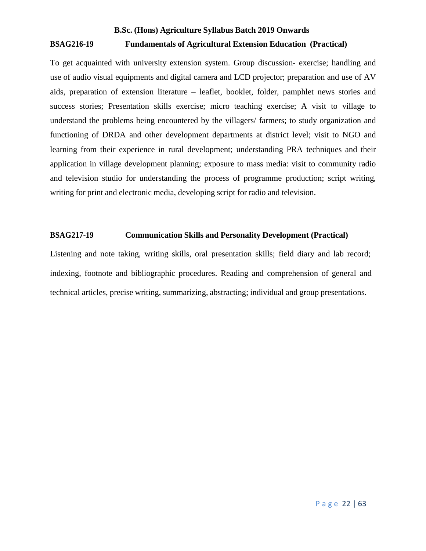# **B.Sc. (Hons) Agriculture Syllabus Batch 2019 Onwards BSAG216-19 Fundamentals of Agricultural Extension Education (Practical)**

To get acquainted with university extension system. Group discussion- exercise; handling and use of audio visual equipments and digital camera and LCD projector; preparation and use of AV aids, preparation of extension literature – leaflet, booklet, folder, pamphlet news stories and success stories; Presentation skills exercise; micro teaching exercise; A visit to village to understand the problems being encountered by the villagers/ farmers; to study organization and functioning of DRDA and other development departments at district level; visit to NGO and learning from their experience in rural development; understanding PRA techniques and their application in village development planning; exposure to mass media: visit to community radio and television studio for understanding the process of programme production; script writing, writing for print and electronic media, developing script for radio and television.

# **BSAG217-19 Communication Skills and Personality Development (Practical)**

Listening and note taking, writing skills, oral presentation skills; field diary and lab record; indexing, footnote and bibliographic procedures. Reading and comprehension of general and technical articles, precise writing, summarizing, abstracting; individual and group presentations.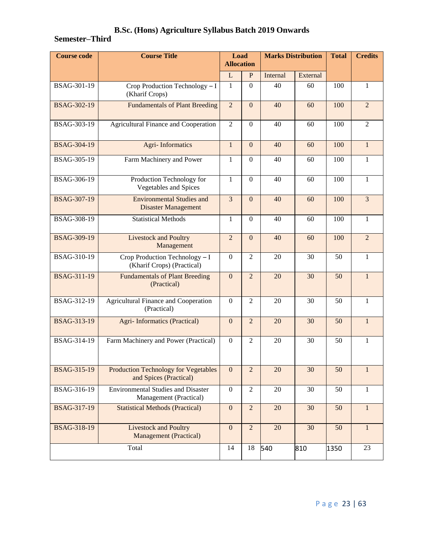# **Semester–Third**

| <b>Course code</b> | <b>Course Title</b>                                                   | Load<br><b>Allocation</b> |                | <b>Marks Distribution</b> |          | <b>Total</b> | <b>Credits</b> |
|--------------------|-----------------------------------------------------------------------|---------------------------|----------------|---------------------------|----------|--------------|----------------|
|                    |                                                                       | L                         | P              | Internal                  | External |              |                |
| BSAG-301-19        | Crop Production Technology - I<br>(Kharif Crops)                      | $\mathbf{1}$              | $\overline{0}$ | 40                        | 60       | 100          | $\mathbf{1}$   |
| <b>BSAG-302-19</b> | <b>Fundamentals of Plant Breeding</b>                                 |                           | $\mathbf{0}$   | 40                        | 60       | 100          | $\overline{2}$ |
| BSAG-303-19        | Agricultural Finance and Cooperation                                  |                           | $\Omega$       | 40                        | 60       | 100          | $\overline{2}$ |
| <b>BSAG-304-19</b> | <b>Agri-Informatics</b>                                               |                           | $\overline{0}$ | 40                        | 60       | 100          | $\mathbf{1}$   |
| BSAG-305-19        | Farm Machinery and Power                                              | 1                         | $\overline{0}$ | 40                        | 60       | 100          | $\mathbf{1}$   |
| BSAG-306-19        | Production Technology for<br><b>Vegetables and Spices</b>             | $\mathbf{1}$              | $\Omega$       | 40                        | 60       | 100          | 1              |
| <b>BSAG-307-19</b> | <b>Environmental Studies and</b><br><b>Disaster Management</b>        | 3                         | $\mathbf{0}$   | 40                        | 60       | 100          | $\overline{3}$ |
| BSAG-308-19        | <b>Statistical Methods</b>                                            | $\mathbf{1}$              | $\overline{0}$ | 40                        | 60       | 100          | $\mathbf{1}$   |
| <b>BSAG-309-19</b> | <b>Livestock and Poultry</b><br>Management                            | $\overline{2}$            | $\overline{0}$ | 40                        | 60       | 100          | $\overline{2}$ |
| BSAG-310-19        | Crop Production Technology - I<br>(Kharif Crops) (Practical)          | $\overline{0}$            | $\overline{2}$ | 20                        | 30       | 50           | $\mathbf{1}$   |
| <b>BSAG-311-19</b> | <b>Fundamentals of Plant Breeding</b><br>(Practical)                  | $\overline{0}$            | $\overline{2}$ | 20                        | 30       | 50           | $\mathbf{1}$   |
| BSAG-312-19        | <b>Agricultural Finance and Cooperation</b><br>(Practical)            | $\Omega$                  | $\overline{2}$ | 20                        | 30       | 50           | $\mathbf{1}$   |
| <b>BSAG-313-19</b> | <b>Agri-Informatics (Practical)</b>                                   | $\mathbf{0}$              | $\overline{2}$ | 20                        | 30       | 50           | $\mathbf{1}$   |
| BSAG-314-19        | Farm Machinery and Power (Practical)                                  | $\theta$                  | $\overline{2}$ | 20                        | 30       | 50           | $\mathbf{1}$   |
| <b>BSAG-315-19</b> | <b>Production Technology for Vegetables</b><br>and Spices (Practical) | $\mathbf{0}$              | $\overline{2}$ | 20                        | 30       | 50           | $\mathbf{1}$   |
| <b>BSAG-316-19</b> | <b>Environmental Studies and Disaster</b><br>Management (Practical)   | $\mathbf{0}$              | $\overline{2}$ | 20                        | 30       | 50           | $\mathbf{1}$   |
| BSAG-317-19        | <b>Statistical Methods (Practical)</b>                                | $\boldsymbol{0}$          | $\overline{2}$ | 20                        | 30       | 50           | $\mathbf{1}$   |
| <b>BSAG-318-19</b> | <b>Livestock and Poultry</b><br><b>Management</b> (Practical)         | $\mathbf{0}$              | $\overline{2}$ | 20                        | 30       | 50           | $\mathbf{1}$   |
| Total              |                                                                       | 14                        | 18             | 540                       | 810      | 1350         | 23             |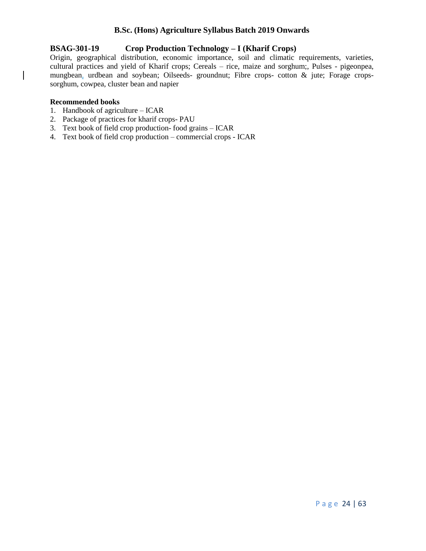# **BSAG-301-19 Crop Production Technology – I (Kharif Crops)**

Origin, geographical distribution, economic importance, soil and climatic requirements, varieties, cultural practices and yield of Kharif crops; Cereals – rice, maize and sorghum;, Pulses - pigeonpea, mungbean, urdbean and soybean; Oilseeds- groundnut; Fibre crops- cotton & jute; Forage cropssorghum, cowpea, cluster bean and napier

# **Recommended books**

 $\overline{\phantom{a}}$ 

- 1. Handbook of agriculture ICAR
- 2. Package of practices for kharif crops- PAU
- 3. Text book of field crop production- food grains ICAR
- 4. Text book of field crop production commercial crops ICAR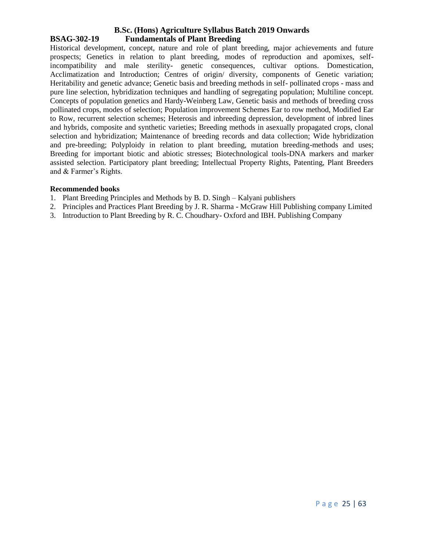# **B.Sc. (Hons) Agriculture Syllabus Batch 2019 Onwards BSAG-302-19 Fundamentals of Plant Breeding**

Historical development, concept, nature and role of plant breeding, major achievements and future prospects; Genetics in relation to plant breeding, modes of reproduction and apomixes, selfincompatibility and male sterility- genetic consequences, cultivar options. Domestication, Acclimatization and Introduction; Centres of origin/ diversity, components of Genetic variation; Heritability and genetic advance; Genetic basis and breeding methods in self- pollinated crops - mass and pure line selection, hybridization techniques and handling of segregating population; Multiline concept. Concepts of population genetics and Hardy-Weinberg Law, Genetic basis and methods of breeding cross pollinated crops, modes of selection; Population improvement Schemes Ear to row method, Modified Ear to Row, recurrent selection schemes; Heterosis and inbreeding depression, development of inbred lines and hybrids, composite and synthetic varieties; Breeding methods in asexually propagated crops, clonal selection and hybridization; Maintenance of breeding records and data collection; Wide hybridization and pre-breeding; Polyploidy in relation to plant breeding, mutation breeding-methods and uses; Breeding for important biotic and abiotic stresses; Biotechnological tools-DNA markers and marker assisted selection. Participatory plant breeding; Intellectual Property Rights, Patenting, Plant Breeders and & Farmer's Rights.

# **Recommended books**

- 1. Plant Breeding Principles and Methods by B. D. Singh Kalyani publishers
- 2. Principles and Practices Plant Breeding by J. R. Sharma McGraw Hill Publishing company Limited
- 3. Introduction to Plant Breeding by R. C. Choudhary- Oxford and IBH. Publishing Company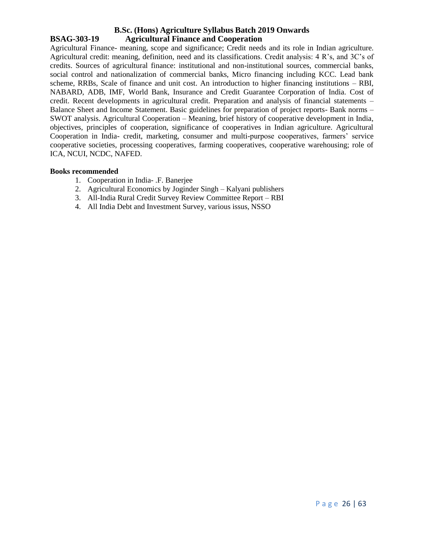# **B.Sc. (Hons) Agriculture Syllabus Batch 2019 Onwards BSAG-303-19 Agricultural Finance and Cooperation**

Agricultural Finance- meaning, scope and significance; Credit needs and its role in Indian agriculture. Agricultural credit: meaning, definition, need and its classifications. Credit analysis: 4 R's, and 3C's of credits. Sources of agricultural finance: institutional and non-institutional sources, commercial banks, social control and nationalization of commercial banks, Micro financing including KCC. Lead bank scheme, RRBs, Scale of finance and unit cost. An introduction to higher financing institutions – RBI, NABARD, ADB, IMF, World Bank, Insurance and Credit Guarantee Corporation of India. Cost of credit. Recent developments in agricultural credit. Preparation and analysis of financial statements – Balance Sheet and Income Statement. Basic guidelines for preparation of project reports- Bank norms – SWOT analysis. Agricultural Cooperation – Meaning, brief history of cooperative development in India, objectives, principles of cooperation, significance of cooperatives in Indian agriculture. Agricultural Cooperation in India- credit, marketing, consumer and multi-purpose cooperatives, farmers' service cooperative societies, processing cooperatives, farming cooperatives, cooperative warehousing; role of ICA, NCUI, NCDC, NAFED.

#### **Books recommended**

- 1. Cooperation in India- .F. Banerjee
- 2. Agricultural Economics by Joginder Singh Kalyani publishers
- 3. All-India Rural Credit Survey Review Committee Report RBI
- 4. All India Debt and Investment Survey, various issus, NSSO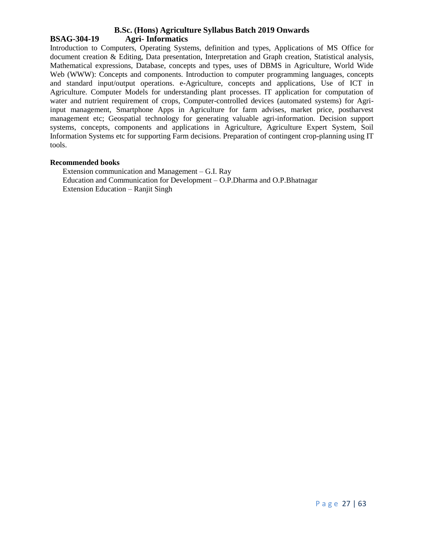# **B.Sc. (Hons) Agriculture Syllabus Batch 2019 Onwards BSAG-304-19 Agri- Informatics**

Introduction to Computers, Operating Systems, definition and types, Applications of MS Office for document creation & Editing, Data presentation, Interpretation and Graph creation, Statistical analysis, Mathematical expressions, Database, concepts and types, uses of DBMS in Agriculture, World Wide Web (WWW): Concepts and components. Introduction to computer programming languages, concepts and standard input/output operations. e-Agriculture, concepts and applications, Use of ICT in Agriculture. Computer Models for understanding plant processes. IT application for computation of water and nutrient requirement of crops, Computer-controlled devices (automated systems) for Agriinput management, Smartphone Apps in Agriculture for farm advises, market price, postharvest management etc; Geospatial technology for generating valuable agri-information. Decision support systems, concepts, components and applications in Agriculture, Agriculture Expert System, Soil Information Systems etc for supporting Farm decisions. Preparation of contingent crop-planning using IT tools.

#### **Recommended books**

Extension communication and Management – G.I. Ray Education and Communication for Development – O.P.Dharma and O.P.Bhatnagar Extension Education – Ranjit Singh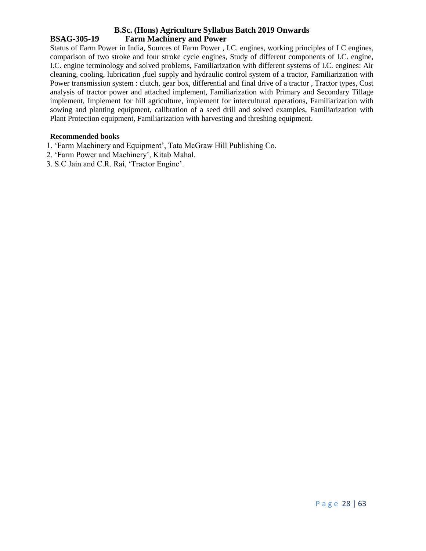# **B.Sc. (Hons) Agriculture Syllabus Batch 2019 Onwards BSAG-305-19 Farm Machinery and Power**

Status of Farm Power in India, Sources of Farm Power , I.C. engines, working principles of I C engines, comparison of two stroke and four stroke cycle engines, Study of different components of I.C. engine, I.C. engine terminology and solved problems, Familiarization with different systems of I.C. engines: Air cleaning, cooling, lubrication ,fuel supply and hydraulic control system of a tractor, Familiarization with Power transmission system : clutch, gear box, differential and final drive of a tractor , Tractor types, Cost analysis of tractor power and attached implement, Familiarization with Primary and Secondary Tillage implement, Implement for hill agriculture, implement for intercultural operations, Familiarization with sowing and planting equipment, calibration of a seed drill and solved examples, Familiarization with Plant Protection equipment, Familiarization with harvesting and threshing equipment.

# **Recommended books**

- 1. 'Farm Machinery and Equipment', Tata McGraw Hill Publishing Co.
- 2. 'Farm Power and Machinery', Kitab Mahal.
- 3. S.C Jain and C.R. Rai, 'Tractor Engine'.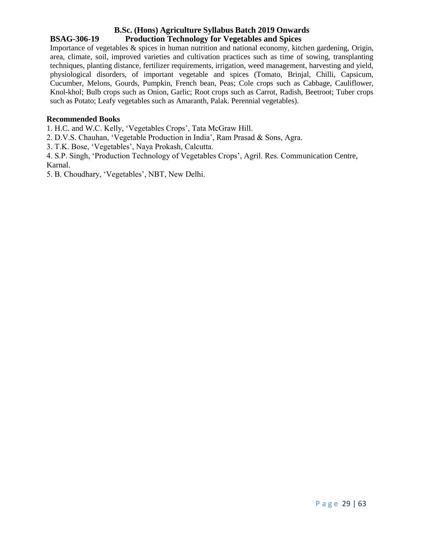# **B.Sc. (Hons) Agriculture Syllabus Batch 2019 Onwards BSAG-306-19 Production Technology for Vegetables and Spices**

Importance of vegetables & spices in human nutrition and national economy, kitchen gardening, Origin, area, climate, soil, improved varieties and cultivation practices such as time of sowing, transplanting techniques, planting distance, fertilizer requirements, irrigation, weed management, harvesting and yield, physiological disorders, of important vegetable and spices (Tomato, Brinjal, Chilli, Capsicum, Cucumber, Melons, Gourds, Pumpkin, French bean, Peas; Cole crops such as Cabbage, Cauliflower, Knol-khol; Bulb crops such as Onion, Garlic; Root crops such as Carrot, Radish, Beetroot; Tuber crops such as Potato; Leafy vegetables such as Amaranth, Palak. Perennial vegetables).

# **Recommended Books**

1. H.C. and W.C. Kelly, 'Vegetables Crops', Tata McGraw Hill.

2. D.V.S. Chauhan, 'Vegetable Production in India', Ram Prasad & Sons, Agra.

3. T.K. Bose, 'Vegetables', Naya Prokash, Calcutta.

4. S.P. Singh, 'Production Technology of Vegetables Crops', Agril. Res. Communication Centre, Karnal.

5. B. Choudhary, 'Vegetables', NBT, New Delhi.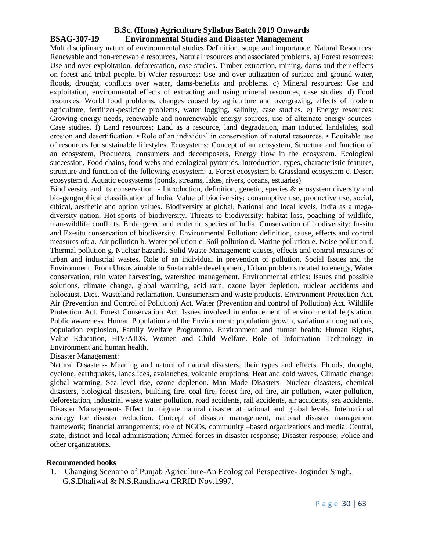# **B.Sc. (Hons) Agriculture Syllabus Batch 2019 Onwards BSAG-307-19 Environmental Studies and Disaster Management**

Multidisciplinary nature of environmental studies Definition, scope and importance. Natural Resources: Renewable and non-renewable resources, Natural resources and associated problems. a) Forest resources: Use and over-exploitation, deforestation, case studies. Timber extraction, mining, dams and their effects on forest and tribal people. b) Water resources: Use and over-utilization of surface and ground water, floods, drought, conflicts over water, dams-benefits and problems. c) Mineral resources: Use and exploitation, environmental effects of extracting and using mineral resources, case studies. d) Food resources: World food problems, changes caused by agriculture and overgrazing, effects of modern agriculture, fertilizer-pesticide problems, water logging, salinity, case studies. e) Energy resources: Growing energy needs, renewable and nonrenewable energy sources, use of alternate energy sources-Case studies. f) Land resources: Land as a resource, land degradation, man induced landslides, soil erosion and desertification. • Role of an individual in conservation of natural resources. • Equitable use of resources for sustainable lifestyles. Ecosystems: Concept of an ecosystem, Structure and function of an ecosystem, Producers, consumers and decomposers, Energy flow in the ecosystem. Ecological succession, Food chains, food webs and ecological pyramids. Introduction, types, characteristic features, structure and function of the following ecosystem: a. Forest ecosystem b. Grassland ecosystem c. Desert ecosystem d. Aquatic ecosystems (ponds, streams, lakes, rivers, oceans, estuaries)

Biodiversity and its conservation: - Introduction, definition, genetic, species & ecosystem diversity and bio-geographical classification of India. Value of biodiversity: consumptive use, productive use, social, ethical, aesthetic and option values. Biodiversity at global, National and local levels, India as a megadiversity nation. Hot-sports of biodiversity. Threats to biodiversity: habitat loss, poaching of wildlife, man-wildlife conflicts. Endangered and endemic species of India. Conservation of biodiversity: In-situ and Ex-situ conservation of biodiversity. Environmental Pollution: definition, cause, effects and control measures of: a. Air pollution b. Water pollution c. Soil pollution d. Marine pollution e. Noise pollution f. Thermal pollution g. Nuclear hazards. Solid Waste Management: causes, effects and control measures of urban and industrial wastes. Role of an individual in prevention of pollution. Social Issues and the Environment: From Unsustainable to Sustainable development, Urban problems related to energy, Water conservation, rain water harvesting, watershed management. Environmental ethics: Issues and possible solutions, climate change, global warming, acid rain, ozone layer depletion, nuclear accidents and holocaust. Dies. Wasteland reclamation. Consumerism and waste products. Environment Protection Act. Air (Prevention and Control of Pollution) Act. Water (Prevention and control of Pollution) Act. Wildlife Protection Act. Forest Conservation Act. Issues involved in enforcement of environmental legislation. Public awareness. Human Population and the Environment: population growth, variation among nations, population explosion, Family Welfare Programme. Environment and human health: Human Rights, Value Education, HIV/AIDS. Women and Child Welfare. Role of Information Technology in Environment and human health.

#### Disaster Management:

Natural Disasters- Meaning and nature of natural disasters, their types and effects. Floods, drought, cyclone, earthquakes, landslides, avalanches, volcanic eruptions, Heat and cold waves, Climatic change: global warming, Sea level rise, ozone depletion. Man Made Disasters- Nuclear disasters, chemical disasters, biological disasters, building fire, coal fire, forest fire, oil fire, air pollution, water pollution, deforestation, industrial waste water pollution, road accidents, rail accidents, air accidents, sea accidents. Disaster Management- Effect to migrate natural disaster at national and global levels. International strategy for disaster reduction. Concept of disaster management, national disaster management framework; financial arrangements; role of NGOs, community –based organizations and media. Central, state, district and local administration; Armed forces in disaster response; Disaster response; Police and other organizations.

# **Recommended books**

1. Changing Scenario of Punjab Agriculture-An Ecological Perspective- Joginder Singh, G.S.Dhaliwal & N.S.Randhawa CRRID Nov.1997.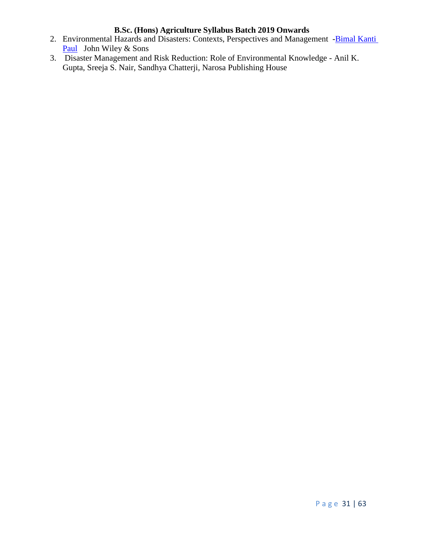- 2. Environmental Hazards and Disasters: Contexts, Perspectives and Management -Bimal Kanti [Paul](https://www.google.co.in/search?tbo=p&tbm=bks&q=inauthor:%22Bimal+Kanti+Paul%22) John Wiley & Sons
- 3. Disaster Management and Risk Reduction: Role of Environmental Knowledge Anil K. Gupta, Sreeja S. Nair, Sandhya Chatterji, Narosa Publishing House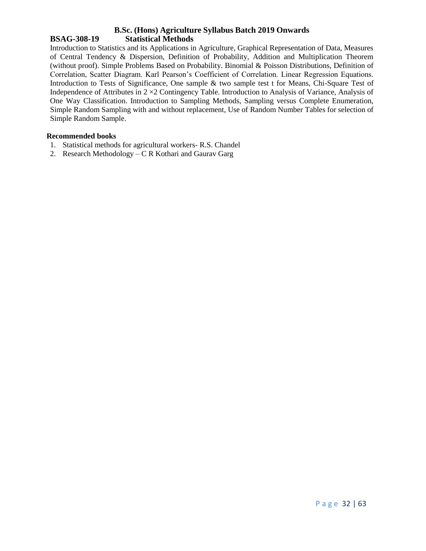# **B.Sc. (Hons) Agriculture Syllabus Batch 2019 Onwards BSAG-308-19 Statistical Methods**

Introduction to Statistics and its Applications in Agriculture, Graphical Representation of Data, Measures of Central Tendency & Dispersion, Definition of Probability, Addition and Multiplication Theorem (without proof). Simple Problems Based on Probability. Binomial & Poisson Distributions, Definition of Correlation, Scatter Diagram. Karl Pearson's Coefficient of Correlation. Linear Regression Equations. Introduction to Tests of Significance, One sample & two sample test t for Means, Chi-Square Test of Independence of Attributes in 2 ×2 Contingency Table. Introduction to Analysis of Variance, Analysis of One Way Classification. Introduction to Sampling Methods, Sampling versus Complete Enumeration, Simple Random Sampling with and without replacement, Use of Random Number Tables for selection of Simple Random Sample.

#### **Recommended books**

- 1. Statistical methods for agricultural workers- R.S. Chandel
- 2. Research Methodology C R Kothari and Gaurav Garg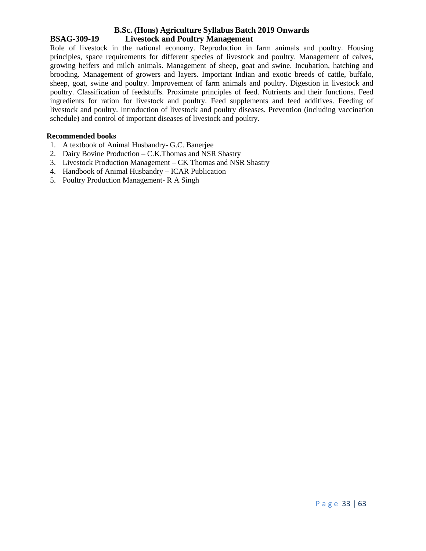# **B.Sc. (Hons) Agriculture Syllabus Batch 2019 Onwards BSAG-309-19 Livestock and Poultry Management**

Role of livestock in the national economy. Reproduction in farm animals and poultry. Housing principles, space requirements for different species of livestock and poultry. Management of calves, growing heifers and milch animals. Management of sheep, goat and swine. Incubation, hatching and brooding. Management of growers and layers. Important Indian and exotic breeds of cattle, buffalo, sheep, goat, swine and poultry. Improvement of farm animals and poultry. Digestion in livestock and poultry. Classification of feedstuffs. Proximate principles of feed. Nutrients and their functions. Feed ingredients for ration for livestock and poultry. Feed supplements and feed additives. Feeding of livestock and poultry. Introduction of livestock and poultry diseases. Prevention (including vaccination schedule) and control of important diseases of livestock and poultry.

# **Recommended books**

- 1. A textbook of Animal Husbandry- G.C. Banerjee
- 2. Dairy Bovine Production C.K.Thomas and NSR Shastry
- 3. Livestock Production Management CK Thomas and NSR Shastry
- 4. Handbook of Animal Husbandry ICAR Publication
- 5. Poultry Production Management- R A Singh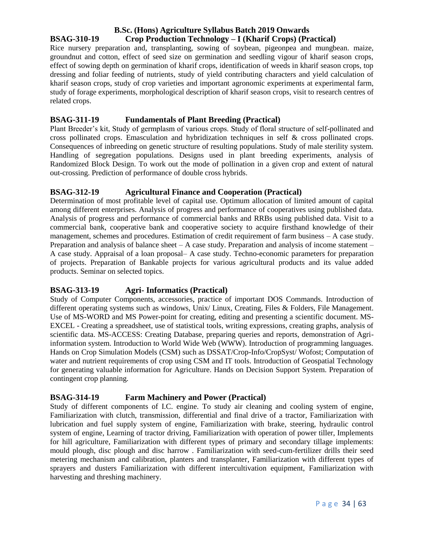# **B.Sc. (Hons) Agriculture Syllabus Batch 2019 Onwards BSAG-310-19 Crop Production Technology – I (Kharif Crops) (Practical)**

Rice nursery preparation and, transplanting, sowing of soybean, pigeonpea and mungbean. maize, groundnut and cotton, effect of seed size on germination and seedling vigour of kharif season crops, effect of sowing depth on germination of kharif crops, identification of weeds in kharif season crops, top dressing and foliar feeding of nutrients, study of yield contributing characters and yield calculation of kharif season crops, study of crop varieties and important agronomic experiments at experimental farm, study of forage experiments, morphological description of kharif season crops, visit to research centres of related crops.

# **BSAG-311-19 Fundamentals of Plant Breeding (Practical)**

Plant Breeder's kit, Study of germplasm of various crops. Study of floral structure of self-pollinated and cross pollinated crops. Emasculation and hybridization techniques in self & cross pollinated crops. Consequences of inbreeding on genetic structure of resulting populations. Study of male sterility system. Handling of segregation populations. Designs used in plant breeding experiments, analysis of Randomized Block Design. To work out the mode of pollination in a given crop and extent of natural out-crossing. Prediction of performance of double cross hybrids.

# **BSAG-312-19 Agricultural Finance and Cooperation (Practical)**

Determination of most profitable level of capital use. Optimum allocation of limited amount of capital among different enterprises. Analysis of progress and performance of cooperatives using published data. Analysis of progress and performance of commercial banks and RRBs using published data. Visit to a commercial bank, cooperative bank and cooperative society to acquire firsthand knowledge of their management, schemes and procedures. Estimation of credit requirement of farm business – A case study. Preparation and analysis of balance sheet – A case study. Preparation and analysis of income statement – A case study. Appraisal of a loan proposal– A case study. Techno-economic parameters for preparation of projects. Preparation of Bankable projects for various agricultural products and its value added products. Seminar on selected topics.

# **BSAG-313-19 Agri- Informatics (Practical)**

Study of Computer Components, accessories, practice of important DOS Commands. Introduction of different operating systems such as windows, Unix/ Linux, Creating, Files & Folders, File Management. Use of MS-WORD and MS Power-point for creating, editing and presenting a scientific document. MS-EXCEL - Creating a spreadsheet, use of statistical tools, writing expressions, creating graphs, analysis of scientific data. MS-ACCESS: Creating Database, preparing queries and reports, demonstration of Agriinformation system. Introduction to World Wide Web (WWW). Introduction of programming languages. Hands on Crop Simulation Models (CSM) such as DSSAT/Crop-Info/CropSyst/ Wofost; Computation of water and nutrient requirements of crop using CSM and IT tools. Introduction of Geospatial Technology for generating valuable information for Agriculture. Hands on Decision Support System. Preparation of contingent crop planning.

# **BSAG-314-19 Farm Machinery and Power (Practical)**

Study of different components of I.C. engine. To study air cleaning and cooling system of engine, Familiarization with clutch, transmission, differential and final drive of a tractor, Familiarization with lubrication and fuel supply system of engine, Familiarization with brake, steering, hydraulic control system of engine, Learning of tractor driving, Familiarization with operation of power tiller, Implements for hill agriculture, Familiarization with different types of primary and secondary tillage implements: mould plough, disc plough and disc harrow . Familiarization with seed-cum-fertilizer drills their seed metering mechanism and calibration, planters and transplanter, Familiarization with different types of sprayers and dusters Familiarization with different intercultivation equipment, Familiarization with harvesting and threshing machinery.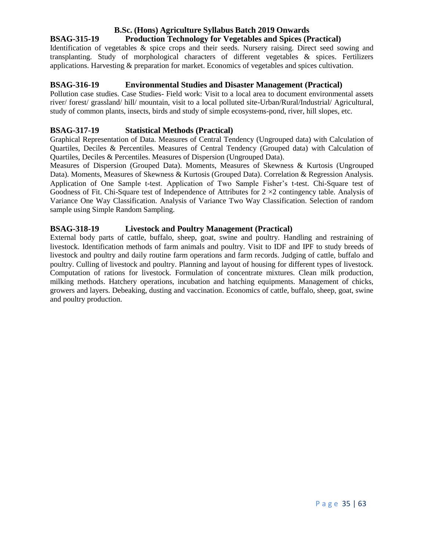# **B.Sc. (Hons) Agriculture Syllabus Batch 2019 Onwards BSAG-315-19 Production Technology for Vegetables and Spices (Practical)**

Identification of vegetables & spice crops and their seeds. Nursery raising. Direct seed sowing and transplanting. Study of morphological characters of different vegetables & spices. Fertilizers applications. Harvesting & preparation for market. Economics of vegetables and spices cultivation.

# **BSAG-316-19 Environmental Studies and Disaster Management (Practical)**

Pollution case studies. Case Studies- Field work: Visit to a local area to document environmental assets river/ forest/ grassland/ hill/ mountain, visit to a local polluted site-Urban/Rural/Industrial/ Agricultural, study of common plants, insects, birds and study of simple ecosystems-pond, river, hill slopes, etc.

# **BSAG-317-19 Statistical Methods (Practical)**

Graphical Representation of Data. Measures of Central Tendency (Ungrouped data) with Calculation of Quartiles, Deciles & Percentiles. Measures of Central Tendency (Grouped data) with Calculation of Quartiles, Deciles & Percentiles. Measures of Dispersion (Ungrouped Data).

Measures of Dispersion (Grouped Data). Moments, Measures of Skewness & Kurtosis (Ungrouped Data). Moments, Measures of Skewness & Kurtosis (Grouped Data). Correlation & Regression Analysis. Application of One Sample t-test. Application of Two Sample Fisher's t-test. Chi-Square test of Goodness of Fit. Chi-Square test of Independence of Attributes for  $2 \times 2$  contingency table. Analysis of Variance One Way Classification. Analysis of Variance Two Way Classification. Selection of random sample using Simple Random Sampling.

# **BSAG-318-19 Livestock and Poultry Management (Practical)**

External body parts of cattle, buffalo, sheep, goat, swine and poultry. Handling and restraining of livestock. Identification methods of farm animals and poultry. Visit to IDF and IPF to study breeds of livestock and poultry and daily routine farm operations and farm records. Judging of cattle, buffalo and poultry. Culling of livestock and poultry. Planning and layout of housing for different types of livestock. Computation of rations for livestock. Formulation of concentrate mixtures. Clean milk production, milking methods. Hatchery operations, incubation and hatching equipments. Management of chicks, growers and layers. Debeaking, dusting and vaccination. Economics of cattle, buffalo, sheep, goat, swine and poultry production.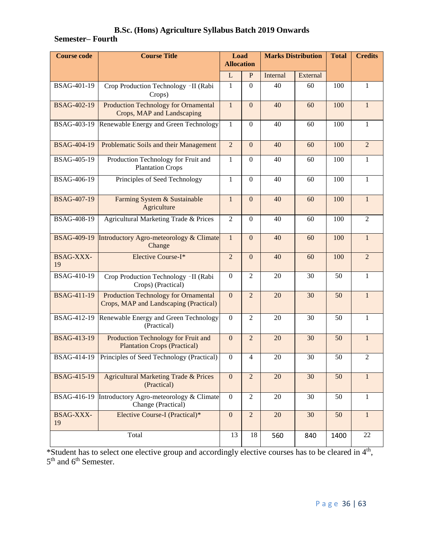# **Semester– Fourth**

| <b>Course code</b>     | <b>Course Title</b>                                                                   | Load<br><b>Allocation</b> |                  | <b>Marks Distribution</b> |          | <b>Total</b> | <b>Credits</b> |  |
|------------------------|---------------------------------------------------------------------------------------|---------------------------|------------------|---------------------------|----------|--------------|----------------|--|
|                        |                                                                                       | L                         | $\mathbf{P}$     | Internal                  | External |              |                |  |
| BSAG-401-19            | Crop Production Technology -II (Rabi<br>Crops)                                        | $\mathbf{1}$              | $\Omega$         | 40                        | 60       | 100          | $\mathbf{1}$   |  |
| <b>BSAG-402-19</b>     | <b>Production Technology for Ornamental</b><br>Crops, MAP and Landscaping             | $\mathbf{1}$              | $\mathbf{0}$     | 40                        | 60       | 100          | $\mathbf{1}$   |  |
| BSAG-403-19            | Renewable Energy and Green Technology                                                 | 1                         | $\Omega$         | 40                        | 60       | 100          | 1              |  |
| <b>BSAG-404-19</b>     | Problematic Soils and their Management                                                |                           | $\overline{0}$   | 40                        | 60       | 100          | $\overline{2}$ |  |
| BSAG-405-19            | Production Technology for Fruit and<br><b>Plantation Crops</b>                        |                           | $\boldsymbol{0}$ | 40                        | 60       | 100          | $\mathbf{1}$   |  |
| BSAG-406-19            | Principles of Seed Technology                                                         | $\mathbf{1}$              | $\overline{0}$   | 40                        | 60       | 100          | $\mathbf{1}$   |  |
| <b>BSAG-407-19</b>     | Farming System & Sustainable<br>Agriculture                                           | $\mathbf{1}$              | $\overline{0}$   | 40                        | 60       | 100          | $\mathbf{1}$   |  |
| BSAG-408-19            | Agricultural Marketing Trade & Prices                                                 | $\overline{2}$            | $\boldsymbol{0}$ | 40                        | 60       | 100          | $\overline{2}$ |  |
| <b>BSAG-409-19</b>     | Introductory Agro-meteorology & Climate<br>Change                                     | $\mathbf{1}$              | $\overline{0}$   | 40                        | 60       | 100          | $\mathbf{1}$   |  |
| <b>BSAG-XXX-</b><br>19 | Elective Course-I*                                                                    | $\overline{2}$            | $\Omega$         | 40                        | 60       | 100          | $\overline{2}$ |  |
| BSAG-410-19            | Crop Production Technology - II (Rabi<br>Crops) (Practical)                           | $\boldsymbol{0}$          | $\overline{2}$   | 20                        | 30       | 50           | 1              |  |
| <b>BSAG-411-19</b>     | <b>Production Technology for Ornamental</b><br>Crops, MAP and Landscaping (Practical) | $\mathbf{0}$              | $\overline{2}$   | 20                        | 30       | 50           | $\mathbf{1}$   |  |
| BSAG-412-19            | Renewable Energy and Green Technology<br>(Practical)                                  | $\boldsymbol{0}$          | $\overline{2}$   | 20                        | 30       | 50           | 1              |  |
| <b>BSAG-413-19</b>     | Production Technology for Fruit and<br><b>Plantation Crops (Practical)</b>            | $\overline{0}$            | $\overline{2}$   | 20                        | 30       | 50           | $\mathbf{1}$   |  |
| BSAG-414-19            | Principles of Seed Technology (Practical)                                             | $\boldsymbol{0}$          | $\overline{4}$   | 20                        | 30       | 50           | $\overline{2}$ |  |
| <b>BSAG-415-19</b>     | <b>Agricultural Marketing Trade &amp; Prices</b><br>(Practical)                       | $\overline{0}$            | $\overline{2}$   | 20                        | 30       | 50           | 1              |  |
| <b>BSAG-416-19</b>     | Introductory Agro-meteorology $\overline{\&}$ Climate<br>Change (Practical)           | $\boldsymbol{0}$          | $\overline{c}$   | 20                        | 30       | 50           | 1              |  |
| BSAG-XXX-<br>19        | Elective Course-I (Practical)*                                                        | $\mathbf{0}$              | $\overline{2}$   | 20                        | 30       | 50           | $\mathbf{1}$   |  |
| Total                  |                                                                                       | 13                        | 18               | 560                       | 840      | 1400         | 22             |  |

\*Student has to select one elective group and accordingly elective courses has to be cleared in 4<sup>th</sup>, 5<sup>th</sup> and 6<sup>th</sup> Semester.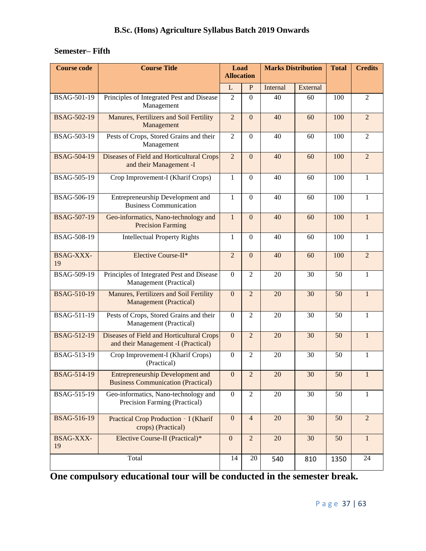# **Semester– Fifth**

| <b>Course code</b>     | <b>Course Title</b>                                                                  | Load<br><b>Allocation</b> |                  | <b>Marks Distribution</b> |          | <b>Total</b> | <b>Credits</b> |
|------------------------|--------------------------------------------------------------------------------------|---------------------------|------------------|---------------------------|----------|--------------|----------------|
|                        |                                                                                      | L                         | $\mathbf{P}$     | Internal                  | External |              |                |
| BSAG-501-19            | Principles of Integrated Pest and Disease<br>Management                              | $\overline{2}$            | $\overline{0}$   | 40                        | 60       | 100          | $\overline{2}$ |
| <b>BSAG-502-19</b>     | Manures, Fertilizers and Soil Fertility<br>Management                                | $\overline{2}$            | $\overline{0}$   | 40                        | 60       | 100          | $\overline{2}$ |
| BSAG-503-19            | Pests of Crops, Stored Grains and their<br>Management                                |                           | $\Omega$         | 40                        | 60       | 100          | $\overline{2}$ |
| <b>BSAG-504-19</b>     | Diseases of Field and Horticultural Crops<br>and their Management -I                 |                           | $\overline{0}$   | 40                        | 60       | 100          | $\overline{2}$ |
| BSAG-505-19            | Crop Improvement-I (Kharif Crops)                                                    | $\mathbf{1}$              | $\overline{0}$   | 40                        | 60       | 100          | $\mathbf{1}$   |
| BSAG-506-19            | Entrepreneurship Development and<br><b>Business Communication</b>                    | 1                         | $\boldsymbol{0}$ | 40                        | 60       | 100          | 1              |
| <b>BSAG-507-19</b>     | Geo-informatics, Nano-technology and<br><b>Precision Farming</b>                     | $\mathbf{1}$              | $\overline{0}$   | 40                        | 60       | 100          | $\mathbf{1}$   |
| BSAG-508-19            | <b>Intellectual Property Rights</b>                                                  | 1                         | $\boldsymbol{0}$ | 40                        | 60       | 100          | 1              |
| <b>BSAG-XXX-</b><br>19 | Elective Course-II*                                                                  | $\overline{2}$            | $\mathbf{0}$     | 40                        | 60       | 100          | $\overline{2}$ |
| BSAG-509-19            | Principles of Integrated Pest and Disease<br>Management (Practical)                  | $\Omega$                  | $\overline{2}$   | 20                        | 30       | 50           | 1              |
| <b>BSAG-510-19</b>     | Manures, Fertilizers and Soil Fertility<br><b>Management</b> (Practical)             | $\overline{0}$            | $\overline{2}$   | 20                        | 30       | 50           | $\mathbf{1}$   |
| <b>BSAG-511-19</b>     | Pests of Crops, Stored Grains and their<br>Management (Practical)                    | $\Omega$                  | $\overline{2}$   | 20                        | 30       | 50           | 1              |
| <b>BSAG-512-19</b>     | Diseases of Field and Horticultural Crops<br>and their Management -I (Practical)     | $\overline{0}$            | $\overline{2}$   | 20                        | 30       | 50           | $\mathbf{1}$   |
| BSAG-513-19            | Crop Improvement-I (Kharif Crops)<br>(Practical)                                     | $\Omega$                  | $\overline{2}$   | 20                        | 30       | 50           | 1              |
| <b>BSAG-514-19</b>     | <b>Entrepreneurship Development and</b><br><b>Business Communication (Practical)</b> | $\mathbf{0}$              | $\boldsymbol{2}$ | $20\,$                    | 30       | 50           |                |
| BSAG-515-19            | Geo-informatics, Nano-technology and<br>Precision Farming (Practical)                | $\overline{0}$            | $\overline{2}$   | 20                        | 30       | 50           | 1              |
| <b>BSAG-516-19</b>     | Practical Crop Production - I (Kharif<br>crops) (Practical)                          | $\mathbf{0}$              | $\overline{4}$   | 20                        | 30       | 50           | $\overline{2}$ |
| <b>BSAG-XXX-</b><br>19 | Elective Course-II (Practical)*                                                      | $\overline{0}$            | $\overline{2}$   | 20                        | 30       | 50           | 1              |
|                        | Total                                                                                | 14                        | $20\,$           | 540                       | 810      | 1350         | 24             |

**One compulsory educational tour will be conducted in the semester break.**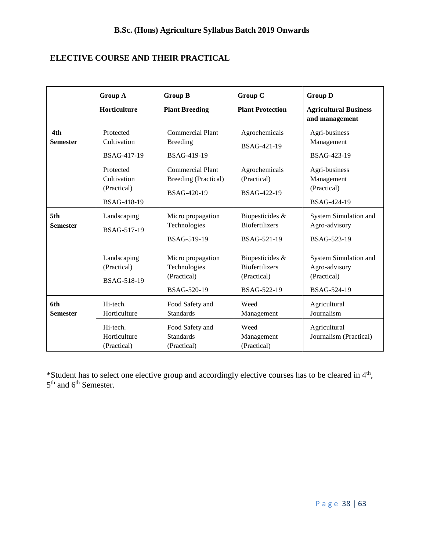# **ELECTIVE COURSE AND THEIR PRACTICAL**

|                        | <b>Group A</b><br>Horticulture                         | <b>Group B</b><br><b>Plant Breeding</b>                               | <b>Group C</b><br><b>Plant Protection</b>                              | <b>Group D</b><br><b>Agricultural Business</b><br>and management     |
|------------------------|--------------------------------------------------------|-----------------------------------------------------------------------|------------------------------------------------------------------------|----------------------------------------------------------------------|
| 4th<br><b>Semester</b> | Protected<br>Cultivation<br>BSAG-417-19                | <b>Commercial Plant</b><br><b>Breeding</b><br>BSAG-419-19             | Agrochemicals<br>BSAG-421-19                                           | Agri-business<br>Management<br>BSAG-423-19                           |
|                        | Protected<br>Cultivation<br>(Practical)<br>BSAG-418-19 | <b>Commercial Plant</b><br>Breeding (Practical)<br><b>BSAG-420-19</b> | Agrochemicals<br>(Practical)<br>BSAG-422-19                            | Agri-business<br>Management<br>(Practical)<br>BSAG-424-19            |
| 5th<br><b>Semester</b> | Landscaping<br>BSAG-517-19                             | Micro propagation<br>Technologies<br>BSAG-519-19                      | Biopesticides &<br><b>Biofertilizers</b><br>BSAG-521-19                | System Simulation and<br>Agro-advisory<br>BSAG-523-19                |
|                        | Landscaping<br>(Practical)<br>BSAG-518-19              | Micro propagation<br>Technologies<br>(Practical)<br>BSAG-520-19       | Biopesticides &<br><b>Biofertilizers</b><br>(Practical)<br>BSAG-522-19 | System Simulation and<br>Agro-advisory<br>(Practical)<br>BSAG-524-19 |
| 6th<br><b>Semester</b> | Hi-tech.<br>Horticulture                               | Food Safety and<br><b>Standards</b>                                   | Weed<br>Management                                                     | Agricultural<br>Journalism                                           |
|                        | Hi-tech.<br>Horticulture<br>(Practical)                | Food Safety and<br><b>Standards</b><br>(Practical)                    | Weed<br>Management<br>(Practical)                                      | Agricultural<br>Journalism (Practical)                               |

\*Student has to select one elective group and accordingly elective courses has to be cleared in 4<sup>th</sup>, 5<sup>th</sup> and 6<sup>th</sup> Semester.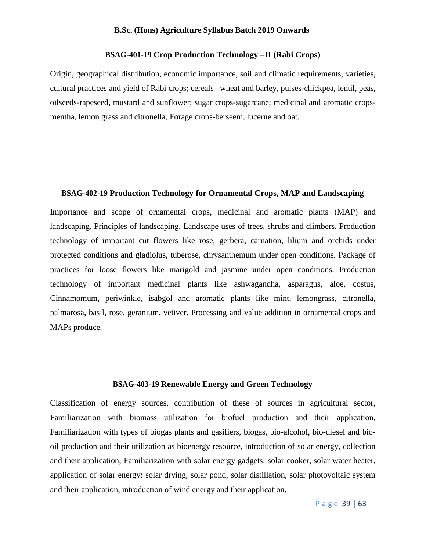# **BSAG-401-19 Crop Production Technology –II (Rabi Crops)**

Origin, geographical distribution, economic importance, soil and climatic requirements, varieties, cultural practices and yield of Rabi crops; cereals –wheat and barley, pulses-chickpea, lentil, peas, oilseeds-rapeseed, mustard and sunflower; sugar crops-sugarcane; medicinal and aromatic cropsmentha, lemon grass and citronella, Forage crops-berseem, lucerne and oat.

# **BSAG-402-19 Production Technology for Ornamental Crops, MAP and Landscaping**

Importance and scope of ornamental crops, medicinal and aromatic plants (MAP) and landscaping. Principles of landscaping. Landscape uses of trees, shrubs and climbers. Production technology of important cut flowers like rose, gerbera, carnation, lilium and orchids under protected conditions and gladiolus, tuberose, chrysanthemum under open conditions. Package of practices for loose flowers like marigold and jasmine under open conditions. Production technology of important medicinal plants like ashwagandha, asparagus, aloe, costus, Cinnamomum, periwinkle, isabgol and aromatic plants like mint, lemongrass, citronella, palmarosa, basil, rose, geranium, vetiver. Processing and value addition in ornamental crops and MAPs produce.

#### **BSAG-403-19 Renewable Energy and Green Technology**

Classification of energy sources, contribution of these of sources in agricultural sector, Familiarization with biomass utilization for biofuel production and their application, Familiarization with types of biogas plants and gasifiers, biogas, bio-alcohol, bio-diesel and biooil production and their utilization as bioenergy resource, introduction of solar energy, collection and their application, Familiarization with solar energy gadgets: solar cooker, solar water heater, application of solar energy: solar drying, solar pond, solar distillation, solar photovoltaic system and their application, introduction of wind energy and their application.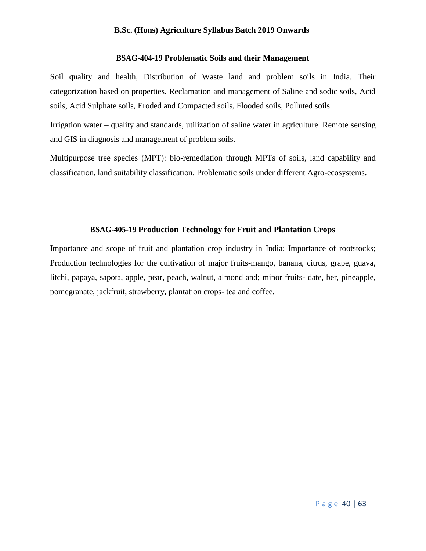# **BSAG-404-19 Problematic Soils and their Management**

Soil quality and health, Distribution of Waste land and problem soils in India. Their categorization based on properties. Reclamation and management of Saline and sodic soils, Acid soils, Acid Sulphate soils, Eroded and Compacted soils, Flooded soils, Polluted soils.

Irrigation water – quality and standards, utilization of saline water in agriculture. Remote sensing and GIS in diagnosis and management of problem soils.

Multipurpose tree species (MPT): bio-remediation through MPTs of soils, land capability and classification, land suitability classification. Problematic soils under different Agro-ecosystems.

# **BSAG-405-19 Production Technology for Fruit and Plantation Crops**

Importance and scope of fruit and plantation crop industry in India; Importance of rootstocks; Production technologies for the cultivation of major fruits-mango, banana, citrus, grape, guava, litchi, papaya, sapota, apple, pear, peach, walnut, almond and; minor fruits- date, ber, pineapple, pomegranate, jackfruit, strawberry, plantation crops- tea and coffee.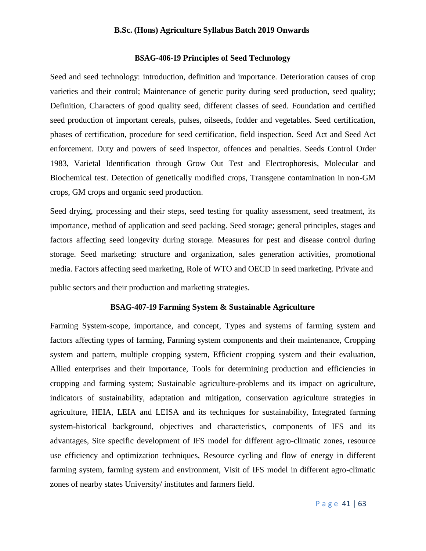# **BSAG-406-19 Principles of Seed Technology**

Seed and seed technology: introduction, definition and importance. Deterioration causes of crop varieties and their control; Maintenance of genetic purity during seed production, seed quality; Definition, Characters of good quality seed, different classes of seed. Foundation and certified seed production of important cereals, pulses, oilseeds, fodder and vegetables. Seed certification, phases of certification, procedure for seed certification, field inspection. Seed Act and Seed Act enforcement. Duty and powers of seed inspector, offences and penalties. Seeds Control Order 1983, Varietal Identification through Grow Out Test and Electrophoresis, Molecular and Biochemical test. Detection of genetically modified crops, Transgene contamination in non-GM crops, GM crops and organic seed production.

Seed drying, processing and their steps, seed testing for quality assessment, seed treatment, its importance, method of application and seed packing. Seed storage; general principles, stages and factors affecting seed longevity during storage. Measures for pest and disease control during storage. Seed marketing: structure and organization, sales generation activities, promotional media. Factors affecting seed marketing, Role of WTO and OECD in seed marketing. Private and

public sectors and their production and marketing strategies.

# **BSAG-407-19 Farming System & Sustainable Agriculture**

Farming System-scope, importance, and concept, Types and systems of farming system and factors affecting types of farming, Farming system components and their maintenance, Cropping system and pattern, multiple cropping system, Efficient cropping system and their evaluation, Allied enterprises and their importance, Tools for determining production and efficiencies in cropping and farming system; Sustainable agriculture-problems and its impact on agriculture, indicators of sustainability, adaptation and mitigation, conservation agriculture strategies in agriculture, HEIA, LEIA and LEISA and its techniques for sustainability, Integrated farming system-historical background, objectives and characteristics, components of IFS and its advantages, Site specific development of IFS model for different agro-climatic zones, resource use efficiency and optimization techniques, Resource cycling and flow of energy in different farming system, farming system and environment, Visit of IFS model in different agro-climatic zones of nearby states University/ institutes and farmers field.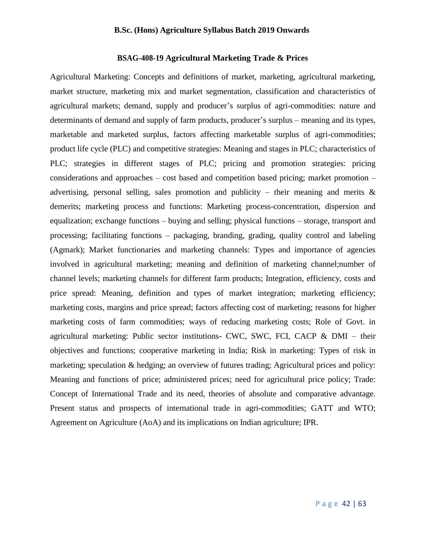# **BSAG-408-19 Agricultural Marketing Trade & Prices**

Agricultural Marketing: Concepts and definitions of market, marketing, agricultural marketing, market structure, marketing mix and market segmentation, classification and characteristics of agricultural markets; demand, supply and producer's surplus of agri-commodities: nature and determinants of demand and supply of farm products, producer's surplus – meaning and its types, marketable and marketed surplus, factors affecting marketable surplus of agri-commodities; product life cycle (PLC) and competitive strategies: Meaning and stages in PLC; characteristics of PLC; strategies in different stages of PLC; pricing and promotion strategies: pricing considerations and approaches – cost based and competition based pricing; market promotion – advertising, personal selling, sales promotion and publicity – their meaning and merits  $\&$ demerits; marketing process and functions: Marketing process-concentration, dispersion and equalization; exchange functions – buying and selling; physical functions – storage, transport and processing; facilitating functions – packaging, branding, grading, quality control and labeling (Agmark); Market functionaries and marketing channels: Types and importance of agencies involved in agricultural marketing; meaning and definition of marketing channel;number of channel levels; marketing channels for different farm products; Integration, efficiency, costs and price spread: Meaning, definition and types of market integration; marketing efficiency; marketing costs, margins and price spread; factors affecting cost of marketing; reasons for higher marketing costs of farm commodities; ways of reducing marketing costs; Role of Govt. in agricultural marketing: Public sector institutions- CWC, SWC, FCI, CACP & DMI – their objectives and functions; cooperative marketing in India; Risk in marketing: Types of risk in marketing; speculation & hedging; an overview of futures trading; Agricultural prices and policy: Meaning and functions of price; administered prices; need for agricultural price policy; Trade: Concept of International Trade and its need, theories of absolute and comparative advantage. Present status and prospects of international trade in agri-commodities; GATT and WTO; Agreement on Agriculture (AoA) and its implications on Indian agriculture; IPR.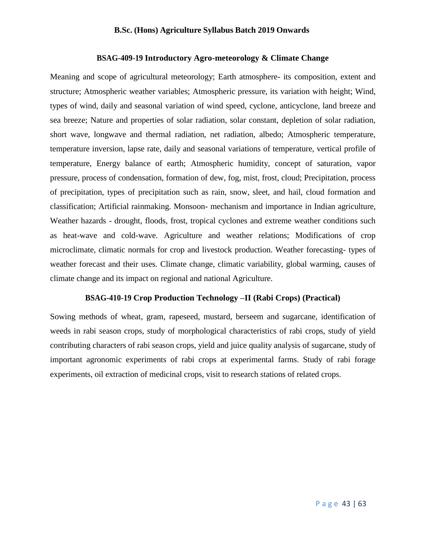# **BSAG-409-19 Introductory Agro-meteorology & Climate Change**

Meaning and scope of agricultural meteorology; Earth atmosphere- its composition, extent and structure; Atmospheric weather variables; Atmospheric pressure, its variation with height; Wind, types of wind, daily and seasonal variation of wind speed, cyclone, anticyclone, land breeze and sea breeze; Nature and properties of solar radiation, solar constant, depletion of solar radiation, short wave, longwave and thermal radiation, net radiation, albedo; Atmospheric temperature, temperature inversion, lapse rate, daily and seasonal variations of temperature, vertical profile of temperature, Energy balance of earth; Atmospheric humidity, concept of saturation, vapor pressure, process of condensation, formation of dew, fog, mist, frost, cloud; Precipitation, process of precipitation, types of precipitation such as rain, snow, sleet, and hail, cloud formation and classification; Artificial rainmaking. Monsoon- mechanism and importance in Indian agriculture, Weather hazards - drought, floods, frost, tropical cyclones and extreme weather conditions such as heat-wave and cold-wave. Agriculture and weather relations; Modifications of crop microclimate, climatic normals for crop and livestock production. Weather forecasting- types of weather forecast and their uses. Climate change, climatic variability, global warming, causes of climate change and its impact on regional and national Agriculture.

# **BSAG-410-19 Crop Production Technology –II (Rabi Crops) (Practical)**

Sowing methods of wheat, gram, rapeseed, mustard, berseem and sugarcane, identification of weeds in rabi season crops, study of morphological characteristics of rabi crops, study of yield contributing characters of rabi season crops, yield and juice quality analysis of sugarcane, study of important agronomic experiments of rabi crops at experimental farms. Study of rabi forage experiments, oil extraction of medicinal crops, visit to research stations of related crops.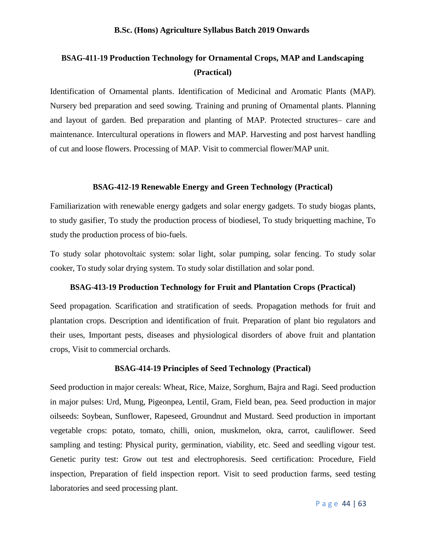# **BSAG-411-19 Production Technology for Ornamental Crops, MAP and Landscaping (Practical)**

Identification of Ornamental plants. Identification of Medicinal and Aromatic Plants (MAP). Nursery bed preparation and seed sowing. Training and pruning of Ornamental plants. Planning and layout of garden. Bed preparation and planting of MAP. Protected structures– care and maintenance. Intercultural operations in flowers and MAP. Harvesting and post harvest handling of cut and loose flowers. Processing of MAP. Visit to commercial flower/MAP unit.

# **BSAG-412-19 Renewable Energy and Green Technology (Practical)**

Familiarization with renewable energy gadgets and solar energy gadgets. To study biogas plants, to study gasifier, To study the production process of biodiesel, To study briquetting machine, To study the production process of bio-fuels.

To study solar photovoltaic system: solar light, solar pumping, solar fencing. To study solar cooker, To study solar drying system. To study solar distillation and solar pond.

# **BSAG-413-19 Production Technology for Fruit and Plantation Crops (Practical)**

Seed propagation. Scarification and stratification of seeds. Propagation methods for fruit and plantation crops. Description and identification of fruit. Preparation of plant bio regulators and their uses, Important pests, diseases and physiological disorders of above fruit and plantation crops, Visit to commercial orchards.

#### **BSAG-414-19 Principles of Seed Technology (Practical)**

Seed production in major cereals: Wheat, Rice, Maize, Sorghum, Bajra and Ragi. Seed production in major pulses: Urd, Mung, Pigeonpea, Lentil, Gram, Field bean, pea. Seed production in major oilseeds: Soybean, Sunflower, Rapeseed, Groundnut and Mustard. Seed production in important vegetable crops: potato, tomato, chilli, onion, muskmelon, okra, carrot, cauliflower. Seed sampling and testing: Physical purity, germination, viability, etc. Seed and seedling vigour test. Genetic purity test: Grow out test and electrophoresis. Seed certification: Procedure, Field inspection, Preparation of field inspection report. Visit to seed production farms, seed testing laboratories and seed processing plant.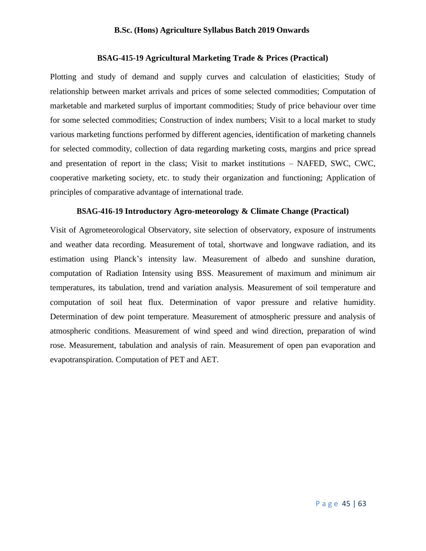# **BSAG-415-19 Agricultural Marketing Trade & Prices (Practical)**

Plotting and study of demand and supply curves and calculation of elasticities; Study of relationship between market arrivals and prices of some selected commodities; Computation of marketable and marketed surplus of important commodities; Study of price behaviour over time for some selected commodities; Construction of index numbers; Visit to a local market to study various marketing functions performed by different agencies, identification of marketing channels for selected commodity, collection of data regarding marketing costs, margins and price spread and presentation of report in the class; Visit to market institutions – NAFED, SWC, CWC, cooperative marketing society, etc. to study their organization and functioning; Application of principles of comparative advantage of international trade.

# **BSAG-416-19 Introductory Agro-meteorology & Climate Change (Practical)**

Visit of Agrometeorological Observatory, site selection of observatory, exposure of instruments and weather data recording. Measurement of total, shortwave and longwave radiation, and its estimation using Planck's intensity law. Measurement of albedo and sunshine duration, computation of Radiation Intensity using BSS. Measurement of maximum and minimum air temperatures, its tabulation, trend and variation analysis. Measurement of soil temperature and computation of soil heat flux. Determination of vapor pressure and relative humidity. Determination of dew point temperature. Measurement of atmospheric pressure and analysis of atmospheric conditions. Measurement of wind speed and wind direction, preparation of wind rose. Measurement, tabulation and analysis of rain. Measurement of open pan evaporation and evapotranspiration. Computation of PET and AET.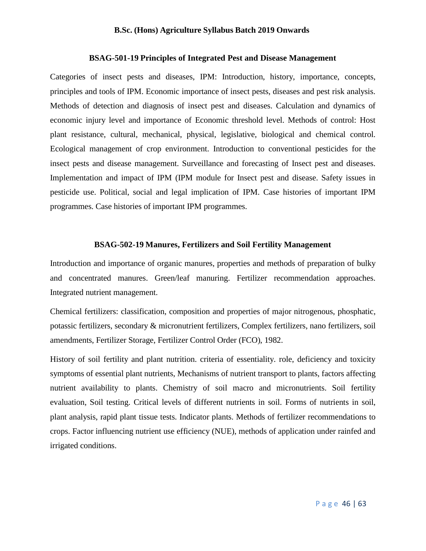# **BSAG-501-19 Principles of Integrated Pest and Disease Management**

Categories of insect pests and diseases, IPM: Introduction, history, importance, concepts, principles and tools of IPM. Economic importance of insect pests, diseases and pest risk analysis. Methods of detection and diagnosis of insect pest and diseases. Calculation and dynamics of economic injury level and importance of Economic threshold level. Methods of control: Host plant resistance, cultural, mechanical, physical, legislative, biological and chemical control. Ecological management of crop environment. Introduction to conventional pesticides for the insect pests and disease management. Surveillance and forecasting of Insect pest and diseases. Implementation and impact of IPM (IPM module for Insect pest and disease. Safety issues in pesticide use. Political, social and legal implication of IPM. Case histories of important IPM programmes. Case histories of important IPM programmes.

# **BSAG-502-19 Manures, Fertilizers and Soil Fertility Management**

Introduction and importance of organic manures, properties and methods of preparation of bulky and concentrated manures. Green/leaf manuring. Fertilizer recommendation approaches. Integrated nutrient management.

Chemical fertilizers: classification, composition and properties of major nitrogenous, phosphatic, potassic fertilizers, secondary & micronutrient fertilizers, Complex fertilizers, nano fertilizers, soil amendments, Fertilizer Storage, Fertilizer Control Order (FCO), 1982.

History of soil fertility and plant nutrition. criteria of essentiality. role, deficiency and toxicity symptoms of essential plant nutrients, Mechanisms of nutrient transport to plants, factors affecting nutrient availability to plants. Chemistry of soil macro and micronutrients. Soil fertility evaluation, Soil testing. Critical levels of different nutrients in soil. Forms of nutrients in soil, plant analysis, rapid plant tissue tests. Indicator plants. Methods of fertilizer recommendations to crops. Factor influencing nutrient use efficiency (NUE), methods of application under rainfed and irrigated conditions.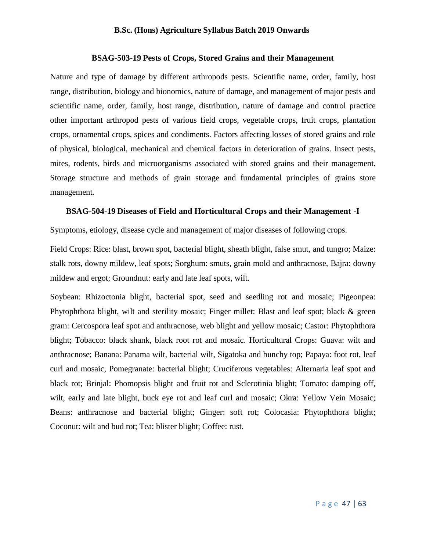## **BSAG-503-19 Pests of Crops, Stored Grains and their Management**

Nature and type of damage by different arthropods pests. Scientific name, order, family, host range, distribution, biology and bionomics, nature of damage, and management of major pests and scientific name, order, family, host range, distribution, nature of damage and control practice other important arthropod pests of various field crops, vegetable crops, fruit crops, plantation crops, ornamental crops, spices and condiments. Factors affecting losses of stored grains and role of physical, biological, mechanical and chemical factors in deterioration of grains. Insect pests, mites, rodents, birds and microorganisms associated with stored grains and their management. Storage structure and methods of grain storage and fundamental principles of grains store management.

# **BSAG-504-19 Diseases of Field and Horticultural Crops and their Management -I**

Symptoms, etiology, disease cycle and management of major diseases of following crops.

Field Crops: Rice: blast, brown spot, bacterial blight, sheath blight, false smut, and tungro; Maize: stalk rots, downy mildew, leaf spots; Sorghum: smuts, grain mold and anthracnose, Bajra: downy mildew and ergot; Groundnut: early and late leaf spots, wilt.

Soybean: Rhizoctonia blight, bacterial spot, seed and seedling rot and mosaic; Pigeonpea: Phytophthora blight, wilt and sterility mosaic; Finger millet: Blast and leaf spot; black & green gram: Cercospora leaf spot and anthracnose, web blight and yellow mosaic; Castor: Phytophthora blight; Tobacco: black shank, black root rot and mosaic. Horticultural Crops: Guava: wilt and anthracnose; Banana: Panama wilt, bacterial wilt, Sigatoka and bunchy top; Papaya: foot rot, leaf curl and mosaic, Pomegranate: bacterial blight; Cruciferous vegetables: Alternaria leaf spot and black rot; Brinjal: Phomopsis blight and fruit rot and Sclerotinia blight; Tomato: damping off, wilt, early and late blight, buck eye rot and leaf curl and mosaic; Okra: Yellow Vein Mosaic; Beans: anthracnose and bacterial blight; Ginger: soft rot; Colocasia: Phytophthora blight; Coconut: wilt and bud rot; Tea: blister blight; Coffee: rust.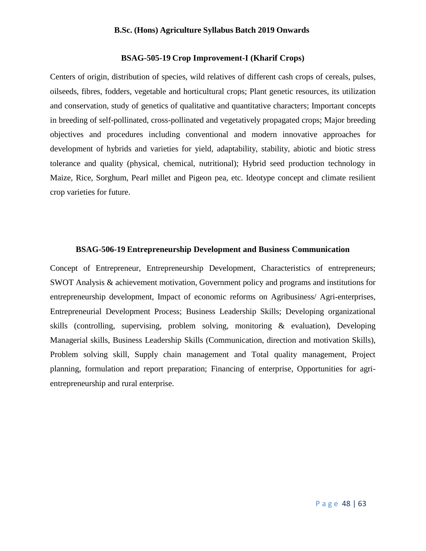# **BSAG-505-19 Crop Improvement-I (Kharif Crops)**

Centers of origin, distribution of species, wild relatives of different cash crops of cereals, pulses, oilseeds, fibres, fodders, vegetable and horticultural crops; Plant genetic resources, its utilization and conservation, study of genetics of qualitative and quantitative characters; Important concepts in breeding of self-pollinated, cross-pollinated and vegetatively propagated crops; Major breeding objectives and procedures including conventional and modern innovative approaches for development of hybrids and varieties for yield, adaptability, stability, abiotic and biotic stress tolerance and quality (physical, chemical, nutritional); Hybrid seed production technology in Maize, Rice, Sorghum, Pearl millet and Pigeon pea, etc. Ideotype concept and climate resilient crop varieties for future.

# **BSAG-506-19 Entrepreneurship Development and Business Communication**

Concept of Entrepreneur, Entrepreneurship Development, Characteristics of entrepreneurs; SWOT Analysis & achievement motivation, Government policy and programs and institutions for entrepreneurship development, Impact of economic reforms on Agribusiness/ Agri-enterprises, Entrepreneurial Development Process; Business Leadership Skills; Developing organizational skills (controlling, supervising, problem solving, monitoring & evaluation), Developing Managerial skills, Business Leadership Skills (Communication, direction and motivation Skills), Problem solving skill, Supply chain management and Total quality management, Project planning, formulation and report preparation; Financing of enterprise, Opportunities for agrientrepreneurship and rural enterprise.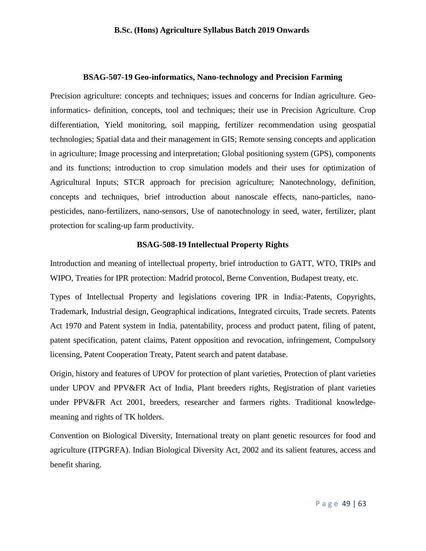# **BSAG-507-19 Geo-informatics, Nano-technology and Precision Farming**

Precision agriculture: concepts and techniques; issues and concerns for Indian agriculture. Geoinformatics- definition, concepts, tool and techniques; their use in Precision Agriculture. Crop differentiation, Yield monitoring, soil mapping, fertilizer recommendation using geospatial technologies; Spatial data and their management in GIS; Remote sensing concepts and application in agriculture; Image processing and interpretation; Global positioning system (GPS), components and its functions; introduction to crop simulation models and their uses for optimization of Agricultural Inputs; STCR approach for precision agriculture; Nanotechnology, definition, concepts and techniques, brief introduction about nanoscale effects, nano-particles, nanopesticides, nano-fertilizers, nano-sensors, Use of nanotechnology in seed, water, fertilizer, plant protection for scaling-up farm productivity.

## **BSAG-508-19 Intellectual Property Rights**

Introduction and meaning of intellectual property, brief introduction to GATT, WTO, TRIPs and WIPO, Treaties for IPR protection: Madrid protocol, Berne Convention, Budapest treaty, etc.

Types of Intellectual Property and legislations covering IPR in India:-Patents, Copyrights, Trademark, Industrial design, Geographical indications, Integrated circuits, Trade secrets. Patents Act 1970 and Patent system in India, patentability, process and product patent, filing of patent, patent specification, patent claims, Patent opposition and revocation, infringement, Compulsory licensing, Patent Cooperation Treaty, Patent search and patent database.

Origin, history and features of UPOV for protection of plant varieties, Protection of plant varieties under UPOV and PPV&FR Act of India, Plant breeders rights, Registration of plant varieties under PPV&FR Act 2001, breeders, researcher and farmers rights. Traditional knowledgemeaning and rights of TK holders.

Convention on Biological Diversity, International treaty on plant genetic resources for food and agriculture (ITPGRFA). Indian Biological Diversity Act, 2002 and its salient features, access and benefit sharing.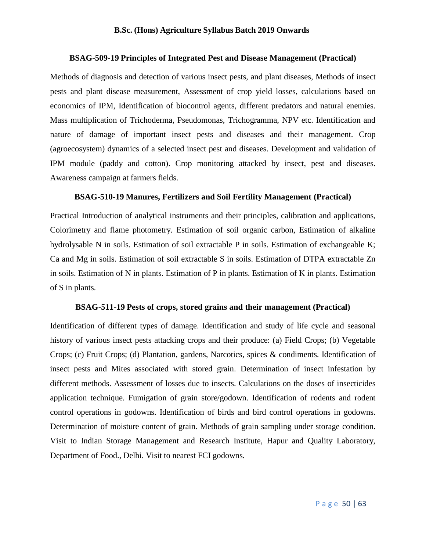# **BSAG-509-19 Principles of Integrated Pest and Disease Management (Practical)**

Methods of diagnosis and detection of various insect pests, and plant diseases, Methods of insect pests and plant disease measurement, Assessment of crop yield losses, calculations based on economics of IPM, Identification of biocontrol agents, different predators and natural enemies. Mass multiplication of Trichoderma, Pseudomonas, Trichogramma, NPV etc. Identification and nature of damage of important insect pests and diseases and their management. Crop (agroecosystem) dynamics of a selected insect pest and diseases. Development and validation of IPM module (paddy and cotton). Crop monitoring attacked by insect, pest and diseases. Awareness campaign at farmers fields.

# **BSAG-510-19 Manures, Fertilizers and Soil Fertility Management (Practical)**

Practical Introduction of analytical instruments and their principles, calibration and applications, Colorimetry and flame photometry. Estimation of soil organic carbon, Estimation of alkaline hydrolysable N in soils. Estimation of soil extractable P in soils. Estimation of exchangeable K; Ca and Mg in soils. Estimation of soil extractable S in soils. Estimation of DTPA extractable Zn in soils. Estimation of N in plants. Estimation of P in plants. Estimation of K in plants. Estimation of S in plants.

# **BSAG-511-19 Pests of crops, stored grains and their management (Practical)**

Identification of different types of damage. Identification and study of life cycle and seasonal history of various insect pests attacking crops and their produce: (a) Field Crops; (b) Vegetable Crops; (c) Fruit Crops; (d) Plantation, gardens, Narcotics, spices & condiments. Identification of insect pests and Mites associated with stored grain. Determination of insect infestation by different methods. Assessment of losses due to insects. Calculations on the doses of insecticides application technique. Fumigation of grain store/godown. Identification of rodents and rodent control operations in godowns. Identification of birds and bird control operations in godowns. Determination of moisture content of grain. Methods of grain sampling under storage condition. Visit to Indian Storage Management and Research Institute, Hapur and Quality Laboratory, Department of Food., Delhi. Visit to nearest FCI godowns.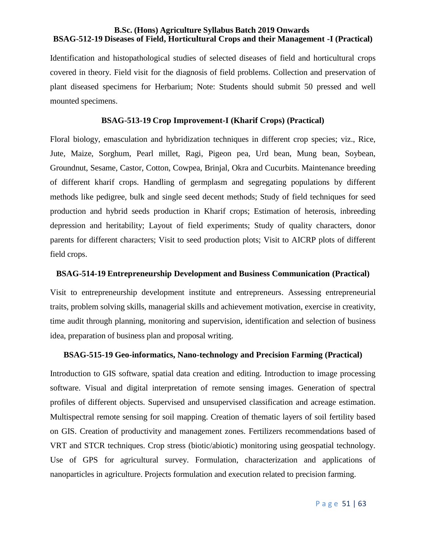# **B.Sc. (Hons) Agriculture Syllabus Batch 2019 Onwards BSAG-512-19 Diseases of Field, Horticultural Crops and their Management -I (Practical)**

Identification and histopathological studies of selected diseases of field and horticultural crops covered in theory. Field visit for the diagnosis of field problems. Collection and preservation of plant diseased specimens for Herbarium; Note: Students should submit 50 pressed and well mounted specimens.

# **BSAG-513-19 Crop Improvement-I (Kharif Crops) (Practical)**

Floral biology, emasculation and hybridization techniques in different crop species; viz., Rice, Jute, Maize, Sorghum, Pearl millet, Ragi, Pigeon pea, Urd bean, Mung bean, Soybean, Groundnut, Sesame, Castor, Cotton, Cowpea, Brinjal, Okra and Cucurbits. Maintenance breeding of different kharif crops. Handling of germplasm and segregating populations by different methods like pedigree, bulk and single seed decent methods; Study of field techniques for seed production and hybrid seeds production in Kharif crops; Estimation of heterosis, inbreeding depression and heritability; Layout of field experiments; Study of quality characters, donor parents for different characters; Visit to seed production plots; Visit to AICRP plots of different field crops.

#### **BSAG-514-19 Entrepreneurship Development and Business Communication (Practical)**

Visit to entrepreneurship development institute and entrepreneurs. Assessing entrepreneurial traits, problem solving skills, managerial skills and achievement motivation, exercise in creativity, time audit through planning, monitoring and supervision, identification and selection of business idea, preparation of business plan and proposal writing.

# **BSAG-515-19 Geo-informatics, Nano-technology and Precision Farming (Practical)**

Introduction to GIS software, spatial data creation and editing. Introduction to image processing software. Visual and digital interpretation of remote sensing images. Generation of spectral profiles of different objects. Supervised and unsupervised classification and acreage estimation. Multispectral remote sensing for soil mapping. Creation of thematic layers of soil fertility based on GIS. Creation of productivity and management zones. Fertilizers recommendations based of VRT and STCR techniques. Crop stress (biotic/abiotic) monitoring using geospatial technology. Use of GPS for agricultural survey. Formulation, characterization and applications of nanoparticles in agriculture. Projects formulation and execution related to precision farming.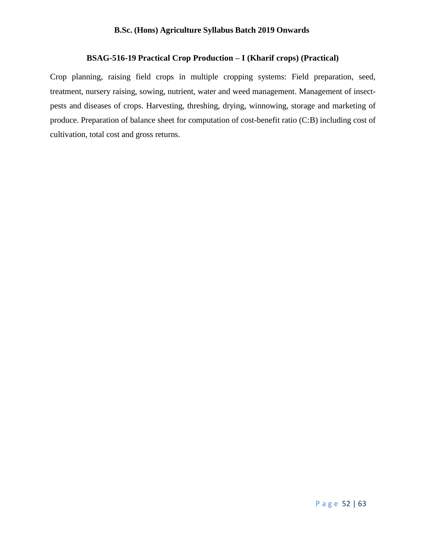# **BSAG-516-19 Practical Crop Production – I (Kharif crops) (Practical)**

Crop planning, raising field crops in multiple cropping systems: Field preparation, seed, treatment, nursery raising, sowing, nutrient, water and weed management. Management of insectpests and diseases of crops. Harvesting, threshing, drying, winnowing, storage and marketing of produce. Preparation of balance sheet for computation of cost-benefit ratio (C:B) including cost of cultivation, total cost and gross returns.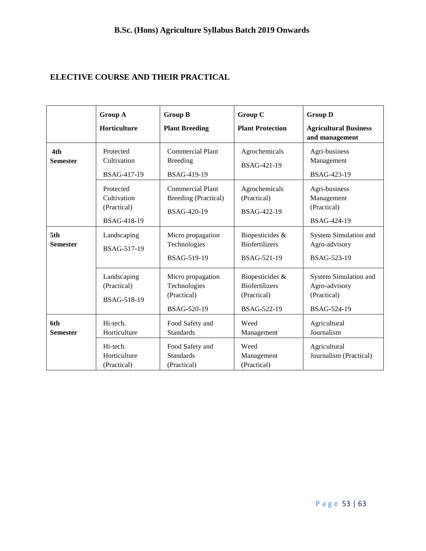# **ELECTIVE COURSE AND THEIR PRACTICAL**

|                        | Group A                                                             | <b>Group B</b>                                                                            | Group C                                                                | <b>Group D</b>                                                       |
|------------------------|---------------------------------------------------------------------|-------------------------------------------------------------------------------------------|------------------------------------------------------------------------|----------------------------------------------------------------------|
|                        | Horticulture                                                        | <b>Plant Breeding</b>                                                                     | <b>Plant Protection</b>                                                | <b>Agricultural Business</b><br>and management                       |
| 4th<br><b>Semester</b> | Protected<br>Cultivation<br>BSAG-417-19                             | <b>Commercial Plant</b><br><b>Breeding</b><br>BSAG-419-19                                 | Agrochemicals<br>BSAG-421-19                                           | Agri-business<br>Management<br>BSAG-423-19                           |
|                        | Protected<br>Cultivation<br>(Practical)<br><b>BSAG-418-19</b>       | <b>Commercial Plant</b><br>Breeding (Practical)<br>BSAG-420-19                            | Agrochemicals<br>(Practical)<br>BSAG-422-19                            | Agri-business<br>Management<br>(Practical)<br>BSAG-424-19            |
| 5th<br><b>Semester</b> | Landscaping<br>BSAG-517-19                                          | Micro propagation<br>Technologies<br>BSAG-519-19                                          | Biopesticides &<br><b>Biofertilizers</b><br>BSAG-521-19                | System Simulation and<br>Agro-advisory<br>BSAG-523-19                |
|                        | Landscaping<br>(Practical)<br>BSAG-518-19                           | Micro propagation<br>Technologies<br>(Practical)<br>BSAG-520-19                           | Biopesticides &<br><b>Biofertilizers</b><br>(Practical)<br>BSAG-522-19 | System Simulation and<br>Agro-advisory<br>(Practical)<br>BSAG-524-19 |
| 6th<br><b>Semester</b> | Hi-tech.<br>Horticulture<br>Hi-tech.<br>Horticulture<br>(Practical) | Food Safety and<br><b>Standards</b><br>Food Safety and<br><b>Standards</b><br>(Practical) | Weed<br>Management<br>Weed<br>Management<br>(Practical)                | Agricultural<br>Journalism<br>Agricultural<br>Journalism (Practical) |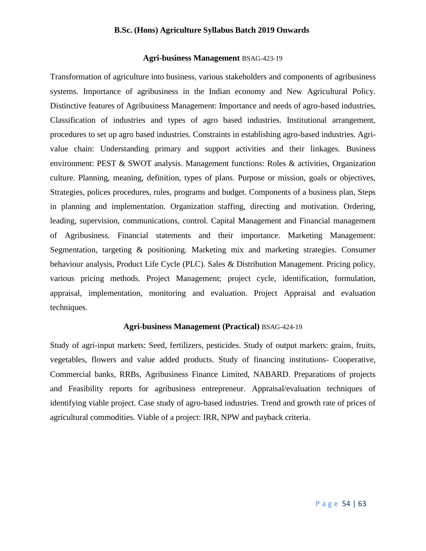# **Agri-business Management** BSAG-423-19

Transformation of agriculture into business, various stakeholders and components of agribusiness systems. Importance of agribusiness in the Indian economy and New Agricultural Policy. Distinctive features of Agribusiness Management: Importance and needs of agro-based industries, Classification of industries and types of agro based industries. Institutional arrangement, procedures to set up agro based industries. Constraints in establishing agro-based industries. Agrivalue chain: Understanding primary and support activities and their linkages. Business environment: PEST & SWOT analysis. Management functions: Roles & activities, Organization culture. Planning, meaning, definition, types of plans. Purpose or mission, goals or objectives, Strategies, polices procedures, rules, programs and budget. Components of a business plan, Steps in planning and implementation. Organization staffing, directing and motivation. Ordering, leading, supervision, communications, control. Capital Management and Financial management of Agribusiness. Financial statements and their importance. Marketing Management: Segmentation, targeting & positioning. Marketing mix and marketing strategies. Consumer behaviour analysis, Product Life Cycle (PLC). Sales & Distribution Management. Pricing policy, various pricing methods. Project Management; project cycle, identification, formulation, appraisal, implementation, monitoring and evaluation. Project Appraisal and evaluation techniques.

# **Agri-business Management (Practical)** BSAG-424-19

Study of agri-input markets: Seed, fertilizers, pesticides. Study of output markets: grains, fruits, vegetables, flowers and value added products. Study of financing institutions- Cooperative, Commercial banks, RRBs, Agribusiness Finance Limited, NABARD. Preparations of projects and Feasibility reports for agribusiness entrepreneur. Appraisal/evaluation techniques of identifying viable project. Case study of agro-based industries. Trend and growth rate of prices of agricultural commodities. Viable of a project: IRR, NPW and payback criteria.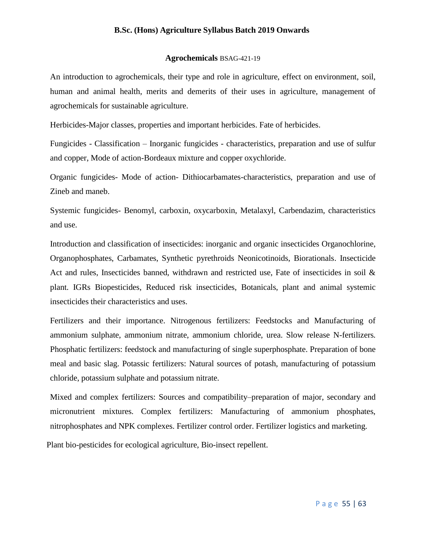# **Agrochemicals** BSAG-421-19

An introduction to agrochemicals, their type and role in agriculture, effect on environment, soil, human and animal health, merits and demerits of their uses in agriculture, management of agrochemicals for sustainable agriculture.

Herbicides-Major classes, properties and important herbicides. Fate of herbicides.

Fungicides - Classification – Inorganic fungicides - characteristics, preparation and use of sulfur and copper, Mode of action-Bordeaux mixture and copper oxychloride.

Organic fungicides- Mode of action- Dithiocarbamates-characteristics, preparation and use of Zineb and maneb.

Systemic fungicides- Benomyl, carboxin, oxycarboxin, Metalaxyl, Carbendazim, characteristics and use.

Introduction and classification of insecticides: inorganic and organic insecticides Organochlorine, Organophosphates, Carbamates, Synthetic pyrethroids Neonicotinoids, Biorationals. Insecticide Act and rules, Insecticides banned, withdrawn and restricted use, Fate of insecticides in soil & plant. IGRs Biopesticides, Reduced risk insecticides, Botanicals, plant and animal systemic insecticides their characteristics and uses.

Fertilizers and their importance. Nitrogenous fertilizers: Feedstocks and Manufacturing of ammonium sulphate, ammonium nitrate, ammonium chloride, urea. Slow release N-fertilizers. Phosphatic fertilizers: feedstock and manufacturing of single superphosphate. Preparation of bone meal and basic slag. Potassic fertilizers: Natural sources of potash, manufacturing of potassium chloride, potassium sulphate and potassium nitrate.

Mixed and complex fertilizers: Sources and compatibility–preparation of major, secondary and micronutrient mixtures. Complex fertilizers: Manufacturing of ammonium phosphates, nitrophosphates and NPK complexes. Fertilizer control order. Fertilizer logistics and marketing.

Plant bio-pesticides for ecological agriculture, Bio-insect repellent.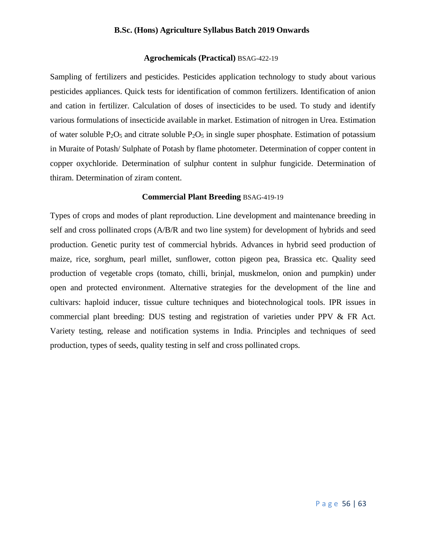# **Agrochemicals (Practical)** BSAG-422-19

Sampling of fertilizers and pesticides. Pesticides application technology to study about various pesticides appliances. Quick tests for identification of common fertilizers. Identification of anion and cation in fertilizer. Calculation of doses of insecticides to be used. To study and identify various formulations of insecticide available in market. Estimation of nitrogen in Urea. Estimation of water soluble  $P_2O_5$  and citrate soluble  $P_2O_5$  in single super phosphate. Estimation of potassium in Muraite of Potash/ Sulphate of Potash by flame photometer. Determination of copper content in copper oxychloride. Determination of sulphur content in sulphur fungicide. Determination of thiram. Determination of ziram content.

## **Commercial Plant Breeding** BSAG-419-19

Types of crops and modes of plant reproduction. Line development and maintenance breeding in self and cross pollinated crops (A/B/R and two line system) for development of hybrids and seed production. Genetic purity test of commercial hybrids. Advances in hybrid seed production of maize, rice, sorghum, pearl millet, sunflower, cotton pigeon pea, Brassica etc. Quality seed production of vegetable crops (tomato, chilli, brinjal, muskmelon, onion and pumpkin) under open and protected environment. Alternative strategies for the development of the line and cultivars: haploid inducer, tissue culture techniques and biotechnological tools. IPR issues in commercial plant breeding: DUS testing and registration of varieties under PPV & FR Act. Variety testing, release and notification systems in India. Principles and techniques of seed production, types of seeds, quality testing in self and cross pollinated crops.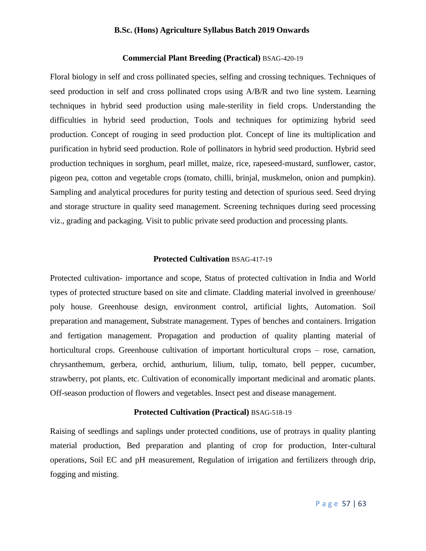# **Commercial Plant Breeding (Practical)** BSAG-420-19

Floral biology in self and cross pollinated species, selfing and crossing techniques. Techniques of seed production in self and cross pollinated crops using A/B/R and two line system. Learning techniques in hybrid seed production using male-sterility in field crops. Understanding the difficulties in hybrid seed production, Tools and techniques for optimizing hybrid seed production. Concept of rouging in seed production plot. Concept of line its multiplication and purification in hybrid seed production. Role of pollinators in hybrid seed production. Hybrid seed production techniques in sorghum, pearl millet, maize, rice, rapeseed-mustard, sunflower, castor, pigeon pea, cotton and vegetable crops (tomato, chilli, brinjal, muskmelon, onion and pumpkin). Sampling and analytical procedures for purity testing and detection of spurious seed. Seed drying and storage structure in quality seed management. Screening techniques during seed processing viz., grading and packaging. Visit to public private seed production and processing plants.

# **Protected Cultivation** BSAG-417-19

Protected cultivation- importance and scope, Status of protected cultivation in India and World types of protected structure based on site and climate. Cladding material involved in greenhouse/ poly house. Greenhouse design, environment control, artificial lights, Automation. Soil preparation and management, Substrate management. Types of benches and containers. Irrigation and fertigation management. Propagation and production of quality planting material of horticultural crops. Greenhouse cultivation of important horticultural crops – rose, carnation, chrysanthemum, gerbera, orchid, anthurium, lilium, tulip, tomato, bell pepper, cucumber, strawberry, pot plants, etc. Cultivation of economically important medicinal and aromatic plants. Off-season production of flowers and vegetables. Insect pest and disease management.

## **Protected Cultivation (Practical)** BSAG-518-19

Raising of seedlings and saplings under protected conditions, use of protrays in quality planting material production, Bed preparation and planting of crop for production, Inter-cultural operations, Soil EC and pH measurement, Regulation of irrigation and fertilizers through drip, fogging and misting.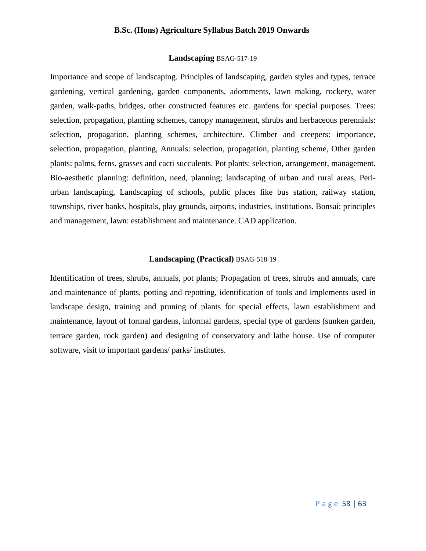# **Landscaping** BSAG-517-19

Importance and scope of landscaping. Principles of landscaping, garden styles and types, terrace gardening, vertical gardening, garden components, adornments, lawn making, rockery, water garden, walk-paths, bridges, other constructed features etc. gardens for special purposes. Trees: selection, propagation, planting schemes, canopy management, shrubs and herbaceous perennials: selection, propagation, planting schemes, architecture. Climber and creepers: importance, selection, propagation, planting, Annuals: selection, propagation, planting scheme, Other garden plants: palms, ferns, grasses and cacti succulents. Pot plants: selection, arrangement, management. Bio-aesthetic planning: definition, need, planning; landscaping of urban and rural areas, Periurban landscaping, Landscaping of schools, public places like bus station, railway station, townships, river banks, hospitals, play grounds, airports, industries, institutions. Bonsai: principles and management, lawn: establishment and maintenance. CAD application.

# **Landscaping (Practical)** BSAG-518-19

Identification of trees, shrubs, annuals, pot plants; Propagation of trees, shrubs and annuals, care and maintenance of plants, potting and repotting, identification of tools and implements used in landscape design, training and pruning of plants for special effects, lawn establishment and maintenance, layout of formal gardens, informal gardens, special type of gardens (sunken garden, terrace garden, rock garden) and designing of conservatory and lathe house. Use of computer software, visit to important gardens/ parks/ institutes.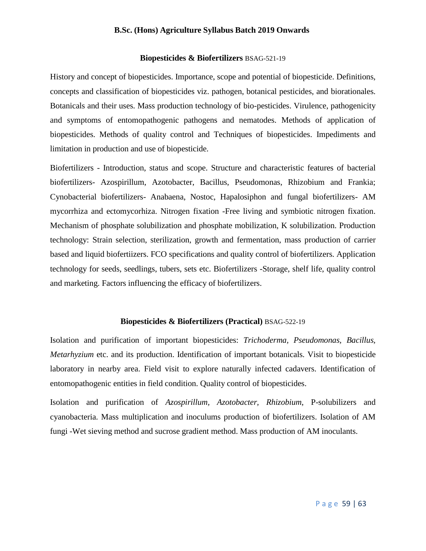# **Biopesticides & Biofertilizers** BSAG-521-19

History and concept of biopesticides. Importance, scope and potential of biopesticide. Definitions, concepts and classification of biopesticides viz. pathogen, botanical pesticides, and biorationales. Botanicals and their uses. Mass production technology of bio-pesticides. Virulence, pathogenicity and symptoms of entomopathogenic pathogens and nematodes. Methods of application of biopesticides. Methods of quality control and Techniques of biopesticides. Impediments and limitation in production and use of biopesticide.

Biofertilizers - Introduction, status and scope. Structure and characteristic features of bacterial biofertilizers- Azospirillum, Azotobacter, Bacillus, Pseudomonas, Rhizobium and Frankia; Cynobacterial biofertilizers- Anabaena, Nostoc, Hapalosiphon and fungal biofertilizers- AM mycorrhiza and ectomycorhiza. Nitrogen fixation -Free living and symbiotic nitrogen fixation. Mechanism of phosphate solubilization and phosphate mobilization, K solubilization. Production technology: Strain selection, sterilization, growth and fermentation, mass production of carrier based and liquid biofertiizers. FCO specifications and quality control of biofertilizers. Application technology for seeds, seedlings, tubers, sets etc. Biofertilizers -Storage, shelf life, quality control and marketing. Factors influencing the efficacy of biofertilizers.

# **Biopesticides & Biofertilizers (Practical)** BSAG-522-19

Isolation and purification of important biopesticides: *Trichoderma, Pseudomonas, Bacillus, Metarhyzium* etc. and its production. Identification of important botanicals. Visit to biopesticide laboratory in nearby area. Field visit to explore naturally infected cadavers. Identification of entomopathogenic entities in field condition. Quality control of biopesticides.

Isolation and purification of *Azospirillum, Azotobacter, Rhizobium*, P-solubilizers and cyanobacteria. Mass multiplication and inoculums production of biofertilizers. Isolation of AM fungi -Wet sieving method and sucrose gradient method. Mass production of AM inoculants.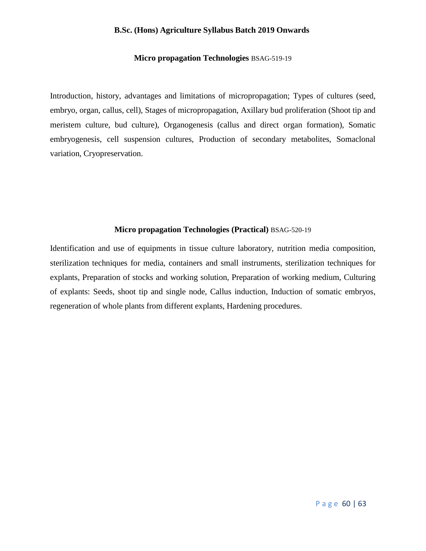# **Micro propagation Technologies** BSAG-519-19

Introduction, history, advantages and limitations of micropropagation; Types of cultures (seed, embryo, organ, callus, cell), Stages of micropropagation, Axillary bud proliferation (Shoot tip and meristem culture, bud culture), Organogenesis (callus and direct organ formation), Somatic embryogenesis, cell suspension cultures, Production of secondary metabolites, Somaclonal variation, Cryopreservation.

# **Micro propagation Technologies (Practical)** BSAG-520-19

Identification and use of equipments in tissue culture laboratory, nutrition media composition, sterilization techniques for media, containers and small instruments, sterilization techniques for explants, Preparation of stocks and working solution, Preparation of working medium, Culturing of explants: Seeds, shoot tip and single node, Callus induction, Induction of somatic embryos, regeneration of whole plants from different explants, Hardening procedures.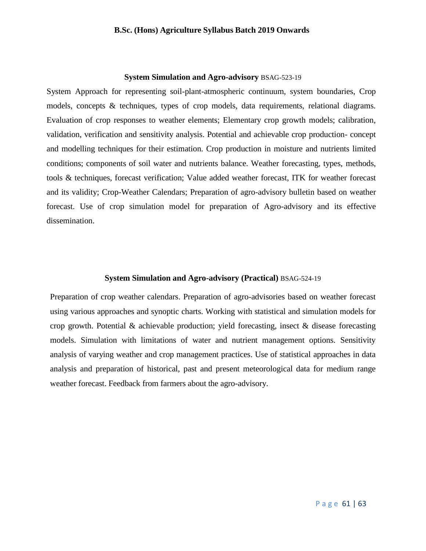#### **System Simulation and Agro-advisory** BSAG-523-19

System Approach for representing soil-plant-atmospheric continuum, system boundaries, Crop models, concepts & techniques, types of crop models, data requirements, relational diagrams. Evaluation of crop responses to weather elements; Elementary crop growth models; calibration, validation, verification and sensitivity analysis. Potential and achievable crop production- concept and modelling techniques for their estimation. Crop production in moisture and nutrients limited conditions; components of soil water and nutrients balance. Weather forecasting, types, methods, tools & techniques, forecast verification; Value added weather forecast, ITK for weather forecast and its validity; Crop-Weather Calendars; Preparation of agro-advisory bulletin based on weather forecast. Use of crop simulation model for preparation of Agro-advisory and its effective dissemination.

# **System Simulation and Agro-advisory (Practical)** BSAG-524-19

Preparation of crop weather calendars. Preparation of agro-advisories based on weather forecast using various approaches and synoptic charts. Working with statistical and simulation models for crop growth. Potential & achievable production; yield forecasting, insect & disease forecasting models. Simulation with limitations of water and nutrient management options. Sensitivity analysis of varying weather and crop management practices. Use of statistical approaches in data analysis and preparation of historical, past and present meteorological data for medium range weather forecast. Feedback from farmers about the agro-advisory.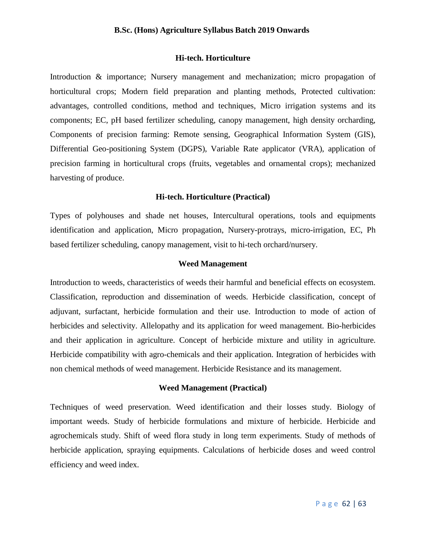# **Hi-tech. Horticulture**

Introduction & importance; Nursery management and mechanization; micro propagation of horticultural crops; Modern field preparation and planting methods, Protected cultivation: advantages, controlled conditions, method and techniques, Micro irrigation systems and its components; EC, pH based fertilizer scheduling, canopy management, high density orcharding, Components of precision farming: Remote sensing, Geographical Information System (GIS), Differential Geo-positioning System (DGPS), Variable Rate applicator (VRA), application of precision farming in horticultural crops (fruits, vegetables and ornamental crops); mechanized harvesting of produce.

## **Hi-tech. Horticulture (Practical)**

Types of polyhouses and shade net houses, Intercultural operations, tools and equipments identification and application, Micro propagation, Nursery-protrays, micro-irrigation, EC, Ph based fertilizer scheduling, canopy management, visit to hi-tech orchard/nursery.

# **Weed Management**

Introduction to weeds, characteristics of weeds their harmful and beneficial effects on ecosystem. Classification, reproduction and dissemination of weeds. Herbicide classification, concept of adjuvant, surfactant, herbicide formulation and their use. Introduction to mode of action of herbicides and selectivity. Allelopathy and its application for weed management. Bio-herbicides and their application in agriculture. Concept of herbicide mixture and utility in agriculture. Herbicide compatibility with agro-chemicals and their application. Integration of herbicides with non chemical methods of weed management. Herbicide Resistance and its management.

# **Weed Management (Practical)**

Techniques of weed preservation. Weed identification and their losses study. Biology of important weeds. Study of herbicide formulations and mixture of herbicide. Herbicide and agrochemicals study. Shift of weed flora study in long term experiments. Study of methods of herbicide application, spraying equipments. Calculations of herbicide doses and weed control efficiency and weed index.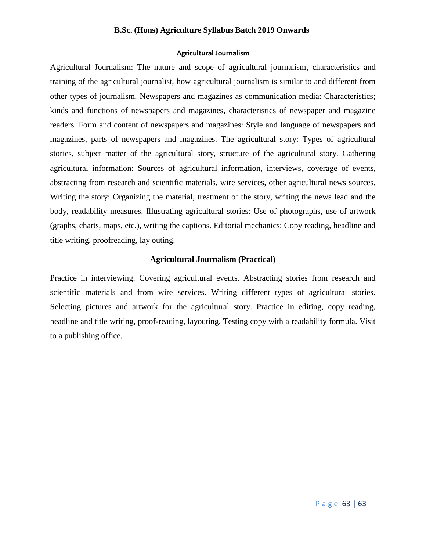# **Agricultural Journalism**

Agricultural Journalism: The nature and scope of agricultural journalism, characteristics and training of the agricultural journalist, how agricultural journalism is similar to and different from other types of journalism. Newspapers and magazines as communication media: Characteristics; kinds and functions of newspapers and magazines, characteristics of newspaper and magazine readers. Form and content of newspapers and magazines: Style and language of newspapers and magazines, parts of newspapers and magazines. The agricultural story: Types of agricultural stories, subject matter of the agricultural story, structure of the agricultural story. Gathering agricultural information: Sources of agricultural information, interviews, coverage of events, abstracting from research and scientific materials, wire services, other agricultural news sources. Writing the story: Organizing the material, treatment of the story, writing the news lead and the body, readability measures. Illustrating agricultural stories: Use of photographs, use of artwork (graphs, charts, maps, etc.), writing the captions. Editorial mechanics: Copy reading, headline and title writing, proofreading, lay outing.

# **Agricultural Journalism (Practical)**

Practice in interviewing. Covering agricultural events. Abstracting stories from research and scientific materials and from wire services. Writing different types of agricultural stories. Selecting pictures and artwork for the agricultural story. Practice in editing, copy reading, headline and title writing, proof-reading, layouting. Testing copy with a readability formula. Visit to a publishing office.